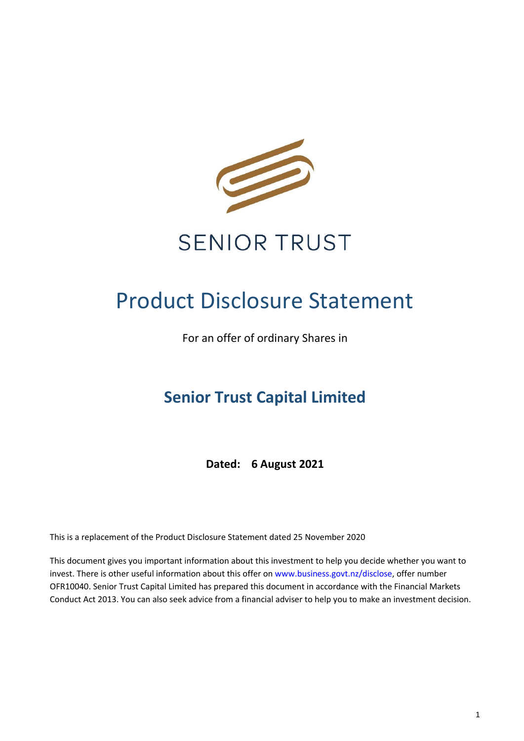

# **SENIOR TRUST**

# Product Disclosure Statement

For an offer of ordinary Shares in

# **Senior Trust Capital Limited**

**Dated: 6 August 2021**

This is a replacement of the Product Disclosure Statement dated 25 November 2020

This document gives you important information about this investment to help you decide whether you want to invest. There is other useful information about this offer on [www.business.govt.nz/disclose,](http://www.business.govt.nz/disclose) offer number OFR10040. Senior Trust Capital Limited has prepared this document in accordance with the Financial Markets Conduct Act 2013. You can also seek advice from a financial adviser to help you to make an investment decision.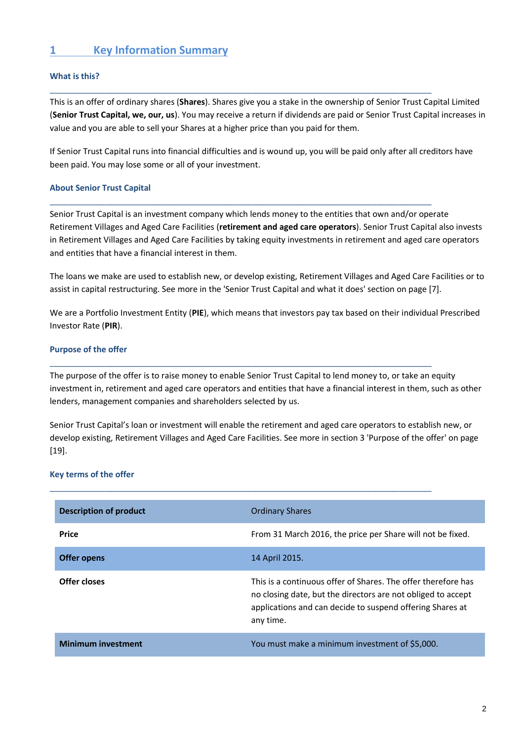## **1 Key Information Summary**

#### **What is this?**

This is an offer of ordinary shares (**Shares**). Shares give you a stake in the ownership of Senior Trust Capital Limited (**Senior Trust Capital, we, our, us**). You may receive a return if dividends are paid or Senior Trust Capital increases in value and you are able to sell your Shares at a higher price than you paid for them.

\_\_\_\_\_\_\_\_\_\_\_\_\_\_\_\_\_\_\_\_\_\_\_\_\_\_\_\_\_\_\_\_\_\_\_\_\_\_\_\_\_\_\_\_\_\_\_\_\_\_\_\_\_\_\_\_\_\_\_\_\_\_\_\_\_\_\_\_\_\_\_\_\_\_\_\_\_\_\_\_\_\_\_

\_\_\_\_\_\_\_\_\_\_\_\_\_\_\_\_\_\_\_\_\_\_\_\_\_\_\_\_\_\_\_\_\_\_\_\_\_\_\_\_\_\_\_\_\_\_\_\_\_\_\_\_\_\_\_\_\_\_\_\_\_\_\_\_\_\_\_\_\_\_\_\_\_\_\_\_\_\_\_\_\_\_\_

If Senior Trust Capital runs into financial difficulties and is wound up, you will be paid only after all creditors have been paid. You may lose some or all of your investment.

#### **About Senior Trust Capital**

Senior Trust Capital is an investment company which lends money to the entities that own and/or operate Retirement Villages and Aged Care Facilities (**retirement and aged care operators**). Senior Trust Capital also invests in Retirement Villages and Aged Care Facilities by taking equity investments in retirement and aged care operators and entities that have a financial interest in them.

The loans we make are used to establish new, or develop existing, Retirement Villages and Aged Care Facilities or to assist in capital restructuring. See more in the 'Senior Trust Capital and what it does' section on page [7].

We are a Portfolio Investment Entity (**PIE**), which means that investors pay tax based on their individual Prescribed Investor Rate (**PIR**).

#### **Purpose of the offer**

The purpose of the offer is to raise money to enable Senior Trust Capital to lend money to, or take an equity investment in, retirement and aged care operators and entities that have a financial interest in them, such as other lenders, management companies and shareholders selected by us.

\_\_\_\_\_\_\_\_\_\_\_\_\_\_\_\_\_\_\_\_\_\_\_\_\_\_\_\_\_\_\_\_\_\_\_\_\_\_\_\_\_\_\_\_\_\_\_\_\_\_\_\_\_\_\_\_\_\_\_\_\_\_\_\_\_\_\_\_\_\_\_\_\_\_\_\_\_\_\_\_\_\_\_

\_\_\_\_\_\_\_\_\_\_\_\_\_\_\_\_\_\_\_\_\_\_\_\_\_\_\_\_\_\_\_\_\_\_\_\_\_\_\_\_\_\_\_\_\_\_\_\_\_\_\_\_\_\_\_\_\_\_\_\_\_\_\_\_\_\_\_\_\_\_\_\_\_\_\_\_\_\_\_\_\_\_\_

Senior Trust Capital's loan or investment will enable the retirement and aged care operators to establish new, or develop existing, Retirement Villages and Aged Care Facilities. See more in section 3 'Purpose of the offer' on page [19].

#### **Key terms of the offer**

| Description of product    | <b>Ordinary Shares</b>                                                                                                                                                                                  |
|---------------------------|---------------------------------------------------------------------------------------------------------------------------------------------------------------------------------------------------------|
| Price                     | From 31 March 2016, the price per Share will not be fixed.                                                                                                                                              |
| Offer opens               | 14 April 2015.                                                                                                                                                                                          |
| Offer closes              | This is a continuous offer of Shares. The offer therefore has<br>no closing date, but the directors are not obliged to accept<br>applications and can decide to suspend offering Shares at<br>any time. |
| <b>Minimum investment</b> | You must make a minimum investment of \$5,000.                                                                                                                                                          |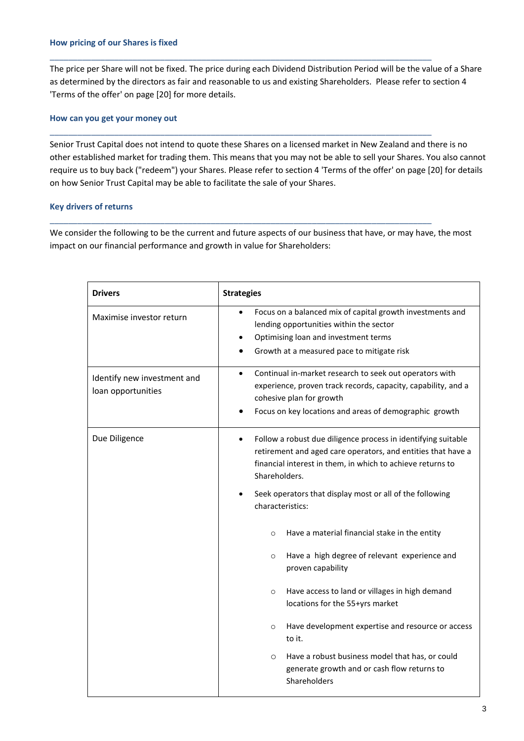The price per Share will not be fixed. The price during each Dividend Distribution Period will be the value of a Share as determined by the directors as fair and reasonable to us and existing Shareholders. Please refer to section 4 'Terms of the offer' on page [20] for more details.

\_\_\_\_\_\_\_\_\_\_\_\_\_\_\_\_\_\_\_\_\_\_\_\_\_\_\_\_\_\_\_\_\_\_\_\_\_\_\_\_\_\_\_\_\_\_\_\_\_\_\_\_\_\_\_\_\_\_\_\_\_\_\_\_\_\_\_\_\_\_\_\_\_\_\_\_\_\_\_\_\_\_\_

\_\_\_\_\_\_\_\_\_\_\_\_\_\_\_\_\_\_\_\_\_\_\_\_\_\_\_\_\_\_\_\_\_\_\_\_\_\_\_\_\_\_\_\_\_\_\_\_\_\_\_\_\_\_\_\_\_\_\_\_\_\_\_\_\_\_\_\_\_\_\_\_\_\_\_\_\_\_\_\_\_\_\_

\_\_\_\_\_\_\_\_\_\_\_\_\_\_\_\_\_\_\_\_\_\_\_\_\_\_\_\_\_\_\_\_\_\_\_\_\_\_\_\_\_\_\_\_\_\_\_\_\_\_\_\_\_\_\_\_\_\_\_\_\_\_\_\_\_\_\_\_\_\_\_\_\_\_\_\_\_\_\_\_\_\_\_

#### **How can you get your money out**

Senior Trust Capital does not intend to quote these Shares on a licensed market in New Zealand and there is no other established market for trading them. This means that you may not be able to sell your Shares. You also cannot require us to buy back ("redeem") your Shares. Please refer to section 4 'Terms of the offer' on page [20] for details on how Senior Trust Capital may be able to facilitate the sale of your Shares.

#### **Key drivers of returns**

We consider the following to be the current and future aspects of our business that have, or may have, the most impact on our financial performance and growth in value for Shareholders:

| <b>Drivers</b>                                    | <b>Strategies</b>                                                                                                                                                                                                                                                                                                                                                                                                                                                                                                                                                                                                                                                                                                                                             |
|---------------------------------------------------|---------------------------------------------------------------------------------------------------------------------------------------------------------------------------------------------------------------------------------------------------------------------------------------------------------------------------------------------------------------------------------------------------------------------------------------------------------------------------------------------------------------------------------------------------------------------------------------------------------------------------------------------------------------------------------------------------------------------------------------------------------------|
| Maximise investor return                          | Focus on a balanced mix of capital growth investments and<br>lending opportunities within the sector<br>Optimising loan and investment terms<br>Growth at a measured pace to mitigate risk                                                                                                                                                                                                                                                                                                                                                                                                                                                                                                                                                                    |
| Identify new investment and<br>loan opportunities | Continual in-market research to seek out operators with<br>$\bullet$<br>experience, proven track records, capacity, capability, and a<br>cohesive plan for growth<br>Focus on key locations and areas of demographic growth                                                                                                                                                                                                                                                                                                                                                                                                                                                                                                                                   |
| Due Diligence                                     | Follow a robust due diligence process in identifying suitable<br>$\bullet$<br>retirement and aged care operators, and entities that have a<br>financial interest in them, in which to achieve returns to<br>Shareholders.<br>Seek operators that display most or all of the following<br>characteristics:<br>Have a material financial stake in the entity<br>$\circ$<br>Have a high degree of relevant experience and<br>$\circ$<br>proven capability<br>Have access to land or villages in high demand<br>$\circ$<br>locations for the 55+yrs market<br>Have development expertise and resource or access<br>$\circ$<br>to it.<br>Have a robust business model that has, or could<br>$\circ$<br>generate growth and or cash flow returns to<br>Shareholders |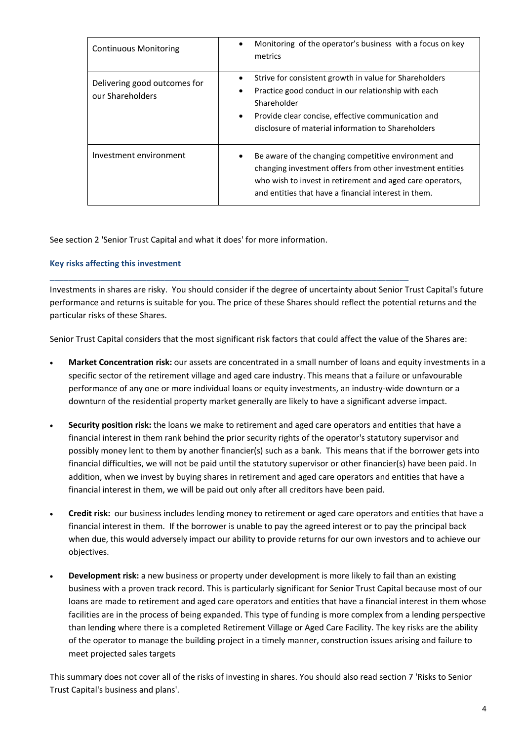| <b>Continuous Monitoring</b>                     | Monitoring of the operator's business with a focus on key<br>$\bullet$<br>metrics                                                                                                                                                                               |
|--------------------------------------------------|-----------------------------------------------------------------------------------------------------------------------------------------------------------------------------------------------------------------------------------------------------------------|
| Delivering good outcomes for<br>our Shareholders | Strive for consistent growth in value for Shareholders<br>٠<br>Practice good conduct in our relationship with each<br>٠<br>Shareholder<br>Provide clear concise, effective communication and<br>$\bullet$<br>disclosure of material information to Shareholders |
| Investment environment                           | Be aware of the changing competitive environment and<br>changing investment offers from other investment entities<br>who wish to invest in retirement and aged care operators,<br>and entities that have a financial interest in them.                          |

See section 2 'Senior Trust Capital and what it does' for more information.

#### **Key risks affecting this investment**

Investments in shares are risky. You should consider if the degree of uncertainty about Senior Trust Capital's future performance and returns is suitable for you. The price of these Shares should reflect the potential returns and the particular risks of these Shares.

Senior Trust Capital considers that the most significant risk factors that could affect the value of the Shares are:

\_\_\_\_\_\_\_\_\_\_\_\_\_\_\_\_\_\_\_\_\_\_\_\_\_\_\_\_\_\_\_\_\_\_\_\_\_\_\_\_\_\_\_\_\_\_\_\_\_\_\_\_\_\_\_\_\_\_\_\_\_\_\_\_\_\_\_\_\_\_\_\_\_\_\_\_\_\_

- **Market Concentration risk:** our assets are concentrated in a small number of loans and equity investments in a specific sector of the retirement village and aged care industry. This means that a failure or unfavourable performance of any one or more individual loans or equity investments, an industry-wide downturn or a downturn of the residential property market generally are likely to have a significant adverse impact.
- **Security position risk:** the loans we make to retirement and aged care operators and entities that have a financial interest in them rank behind the prior security rights of the operator's statutory supervisor and possibly money lent to them by another financier(s) such as a bank. This means that if the borrower gets into financial difficulties, we will not be paid until the statutory supervisor or other financier(s) have been paid. In addition, when we invest by buying shares in retirement and aged care operators and entities that have a financial interest in them, we will be paid out only after all creditors have been paid.
- **Credit risk:** our business includes lending money to retirement or aged care operators and entities that have a financial interest in them. If the borrower is unable to pay the agreed interest or to pay the principal back when due, this would adversely impact our ability to provide returns for our own investors and to achieve our objectives.
- **Development risk:** a new business or property under development is more likely to fail than an existing business with a proven track record. This is particularly significant for Senior Trust Capital because most of our loans are made to retirement and aged care operators and entities that have a financial interest in them whose facilities are in the process of being expanded. This type of funding is more complex from a lending perspective than lending where there is a completed Retirement Village or Aged Care Facility. The key risks are the ability of the operator to manage the building project in a timely manner, construction issues arising and failure to meet projected sales targets

This summary does not cover all of the risks of investing in shares. You should also read section 7 'Risks to Senior Trust Capital's business and plans'.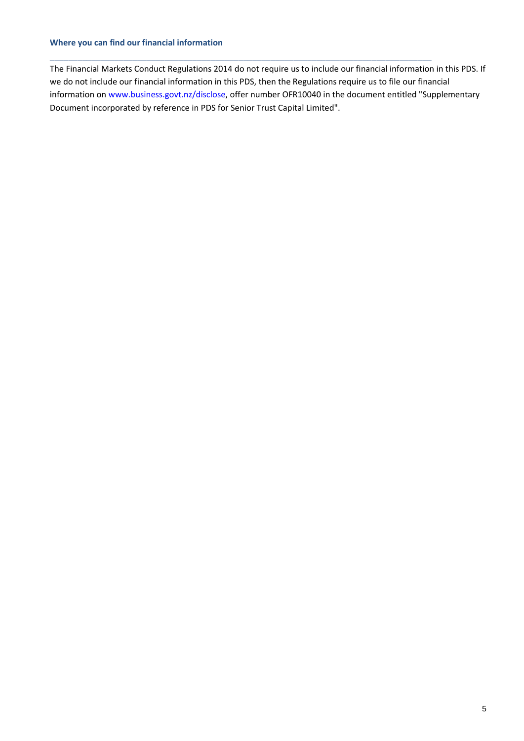#### **Where you can find our financial information**

The Financial Markets Conduct Regulations 2014 do not require us to include our financial information in this PDS. If we do not include our financial information in this PDS, then the Regulations require us to file our financial information on [www.business.govt.nz/disclose,](http://www.business.govt.nz/disclose) offer number OFR10040 in the document entitled "Supplementary Document incorporated by reference in PDS for Senior Trust Capital Limited".

\_\_\_\_\_\_\_\_\_\_\_\_\_\_\_\_\_\_\_\_\_\_\_\_\_\_\_\_\_\_\_\_\_\_\_\_\_\_\_\_\_\_\_\_\_\_\_\_\_\_\_\_\_\_\_\_\_\_\_\_\_\_\_\_\_\_\_\_\_\_\_\_\_\_\_\_\_\_\_\_\_\_\_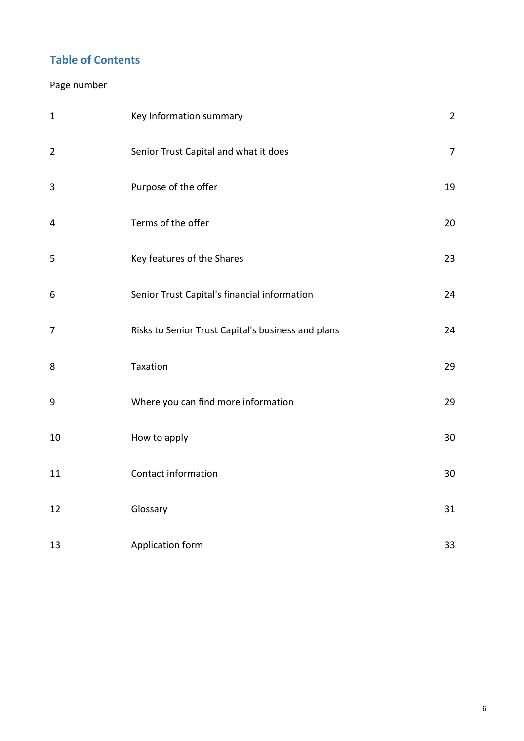## **Table of Contents**

## Page number

| $\mathbf{1}$   | Key Information summary                            | $\overline{2}$ |
|----------------|----------------------------------------------------|----------------|
| $\overline{2}$ | Senior Trust Capital and what it does              | $\overline{7}$ |
| $\mathbf{3}$   | Purpose of the offer                               | 19             |
| $\overline{4}$ | Terms of the offer                                 | 20             |
| 5              | Key features of the Shares                         | 23             |
| 6              | Senior Trust Capital's financial information       | 24             |
| $\overline{7}$ | Risks to Senior Trust Capital's business and plans | 24             |
| 8              | Taxation                                           | 29             |
| 9              | Where you can find more information                | 29             |
| 10             | How to apply                                       | 30             |
| 11             | Contact information                                | 30             |
| 12             | Glossary                                           | 31             |
| 13             | Application form                                   | 33             |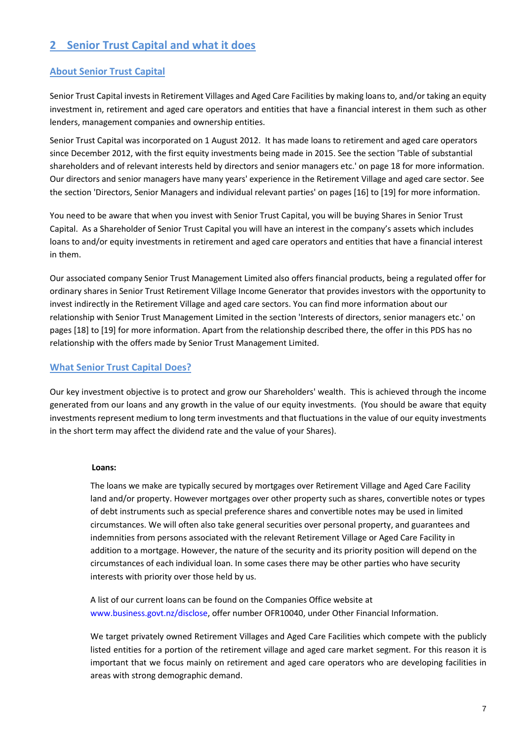## **2 Senior Trust Capital and what it does**

#### **About Senior Trust Capital**

Senior Trust Capital invests in Retirement Villages and Aged Care Facilities by making loans to, and/or taking an equity investment in, retirement and aged care operators and entities that have a financial interest in them such as other lenders, management companies and ownership entities.

Senior Trust Capital was incorporated on 1 August 2012. It has made loans to retirement and aged care operators since December 2012, with the first equity investments being made in 2015. See the section 'Table of substantial shareholders and of relevant interests held by directors and senior managers etc.' on page 18 for more information. Our directors and senior managers have many years' experience in the Retirement Village and aged care sector. See the section 'Directors, Senior Managers and individual relevant parties' on pages [16] to [19] for more information.

You need to be aware that when you invest with Senior Trust Capital, you will be buying Shares in Senior Trust Capital. As a Shareholder of Senior Trust Capital you will have an interest in the company's assets which includes loans to and/or equity investments in retirement and aged care operators and entities that have a financial interest in them.

Our associated company Senior Trust Management Limited also offers financial products, being a regulated offer for ordinary shares in Senior Trust Retirement Village Income Generator that provides investors with the opportunity to invest indirectly in the Retirement Village and aged care sectors. You can find more information about our relationship with Senior Trust Management Limited in the section 'Interests of directors, senior managers etc.' on pages [18] to [19] for more information. Apart from the relationship described there, the offer in this PDS has no relationship with the offers made by Senior Trust Management Limited.

#### **What Senior Trust Capital Does?**

Our key investment objective is to protect and grow our Shareholders' wealth. This is achieved through the income generated from our loans and any growth in the value of our equity investments. (You should be aware that equity investments represent medium to long term investments and that fluctuations in the value of our equity investments in the short term may affect the dividend rate and the value of your Shares).

#### **Loans:**

The loans we make are typically secured by mortgages over Retirement Village and Aged Care Facility land and/or property. However mortgages over other property such as shares, convertible notes or types of debt instruments such as special preference shares and convertible notes may be used in limited circumstances. We will often also take general securities over personal property, and guarantees and indemnities from persons associated with the relevant Retirement Village or Aged Care Facility in addition to a mortgage. However, the nature of the security and its priority position will depend on the circumstances of each individual loan. In some cases there may be other parties who have security interests with priority over those held by us.

A list of our current loans can be found on the Companies Office website at [www.business.govt.nz/disclose,](http://www.business.govt.nz/disclose) offer number OFR10040, under Other Financial Information.

We target privately owned Retirement Villages and Aged Care Facilities which compete with the publicly listed entities for a portion of the retirement village and aged care market segment. For this reason it is important that we focus mainly on retirement and aged care operators who are developing facilities in areas with strong demographic demand.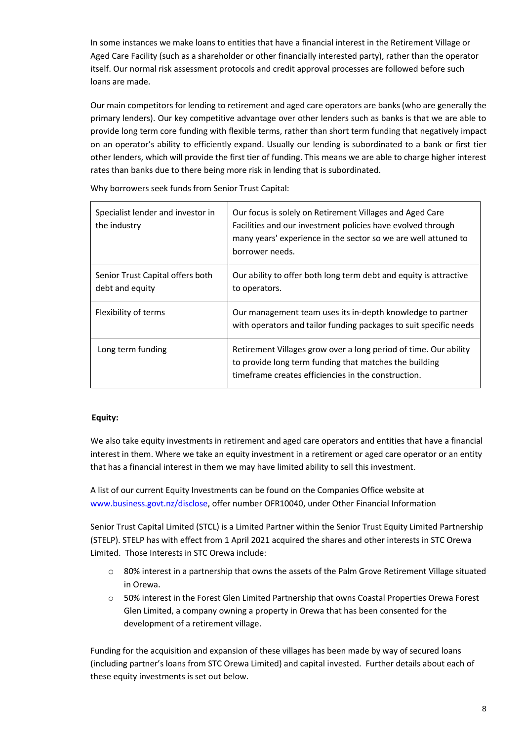In some instances we make loans to entities that have a financial interest in the Retirement Village or Aged Care Facility (such as a shareholder or other financially interested party), rather than the operator itself. Our normal risk assessment protocols and credit approval processes are followed before such loans are made.

Our main competitors for lending to retirement and aged care operators are banks (who are generally the primary lenders). Our key competitive advantage over other lenders such as banks is that we are able to provide long term core funding with flexible terms, rather than short term funding that negatively impact on an operator's ability to efficiently expand. Usually our lending is subordinated to a bank or first tier other lenders, which will provide the first tier of funding. This means we are able to charge higher interest rates than banks due to there being more risk in lending that is subordinated.

Specialist lender and investor in the industry Our focus is solely on Retirement Villages and Aged Care Facilities and our investment policies have evolved through many years' experience in the sector so we are well attuned to borrower needs. Senior Trust Capital offers both debt and equity Our ability to offer both long term debt and equity is attractive to operators. Flexibility of terms **Our management team uses its in-depth knowledge to partner** with operators and tailor funding packages to suit specific needs Long term funding **Retirement Villages grow over a long period of time. Our ability** to provide long term funding that matches the building timeframe creates efficiencies in the construction.

Why borrowers seek funds from Senior Trust Capital:

#### **Equity:**

We also take equity investments in retirement and aged care operators and entities that have a financial interest in them. Where we take an equity investment in a retirement or aged care operator or an entity that has a financial interest in them we may have limited ability to sell this investment.

A list of our current Equity Investments can be found on the Companies Office website at [www.business.govt.nz/disclose,](http://www.business.govt.nz/disclose) offer number OFR10040, under Other Financial Information

Senior Trust Capital Limited (STCL) is a Limited Partner within the Senior Trust Equity Limited Partnership (STELP). STELP has with effect from 1 April 2021 acquired the shares and other interests in STC Orewa Limited. Those Interests in STC Orewa include:

- o 80% interest in a partnership that owns the assets of the Palm Grove Retirement Village situated in Orewa.
- o 50% interest in the Forest Glen Limited Partnership that owns Coastal Properties Orewa Forest Glen Limited, a company owning a property in Orewa that has been consented for the development of a retirement village.

Funding for the acquisition and expansion of these villages has been made by way of secured loans (including partner's loans from STC Orewa Limited) and capital invested. Further details about each of these equity investments is set out below.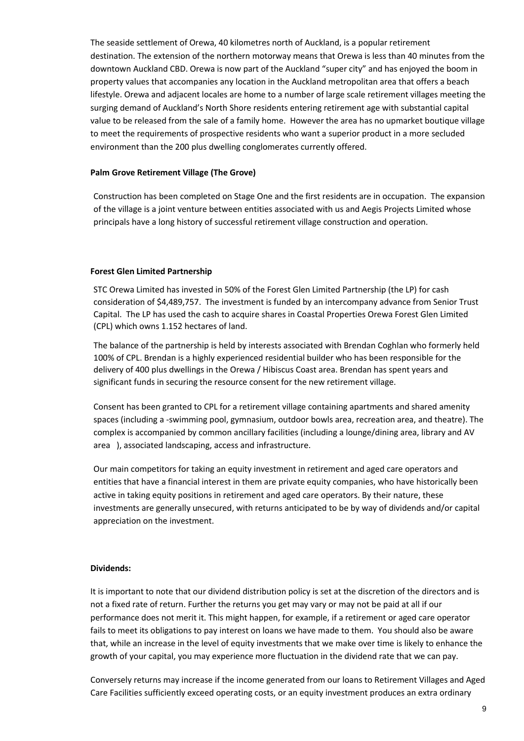The seaside settlement of Orewa, 40 kilometres north of Auckland, is a popular retirement destination. The extension of the northern motorway means that Orewa is less than 40 minutes from the downtown Auckland CBD. Orewa is now part of the Auckland "super city" and has enjoyed the boom in property values that accompanies any location in the Auckland metropolitan area that offers a beach lifestyle. Orewa and adjacent locales are home to a number of large scale retirement villages meeting the surging demand of Auckland's North Shore residents entering retirement age with substantial capital value to be released from the sale of a family home. However the area has no upmarket boutique village to meet the requirements of prospective residents who want a superior product in a more secluded environment than the 200 plus dwelling conglomerates currently offered.

#### **Palm Grove Retirement Village (The Grove)**

Construction has been completed on Stage One and the first residents are in occupation. The expansion of the village is a joint venture between entities associated with us and Aegis Projects Limited whose principals have a long history of successful retirement village construction and operation.

#### **Forest Glen Limited Partnership**

STC Orewa Limited has invested in 50% of the Forest Glen Limited Partnership (the LP) for cash consideration of \$4,489,757. The investment is funded by an intercompany advance from Senior Trust Capital. The LP has used the cash to acquire shares in Coastal Properties Orewa Forest Glen Limited (CPL) which owns 1.152 hectares of land.

The balance of the partnership is held by interests associated with Brendan Coghlan who formerly held 100% of CPL. Brendan is a highly experienced residential builder who has been responsible for the delivery of 400 plus dwellings in the Orewa / Hibiscus Coast area. Brendan has spent years and significant funds in securing the resource consent for the new retirement village.

Consent has been granted to CPL for a retirement village containing apartments and shared amenity spaces (including a -swimming pool, gymnasium, outdoor bowls area, recreation area, and theatre). The complex is accompanied by common ancillary facilities (including a lounge/dining area, library and AV area ), associated landscaping, access and infrastructure.

Our main competitors for taking an equity investment in retirement and aged care operators and entities that have a financial interest in them are private equity companies, who have historically been active in taking equity positions in retirement and aged care operators. By their nature, these investments are generally unsecured, with returns anticipated to be by way of dividends and/or capital appreciation on the investment.

#### **Dividends:**

It is important to note that our dividend distribution policy is set at the discretion of the directors and is not a fixed rate of return. Further the returns you get may vary or may not be paid at all if our performance does not merit it. This might happen, for example, if a retirement or aged care operator fails to meet its obligations to pay interest on loans we have made to them. You should also be aware that, while an increase in the level of equity investments that we make over time is likely to enhance the growth of your capital, you may experience more fluctuation in the dividend rate that we can pay.

Conversely returns may increase if the income generated from our loans to Retirement Villages and Aged Care Facilities sufficiently exceed operating costs, or an equity investment produces an extra ordinary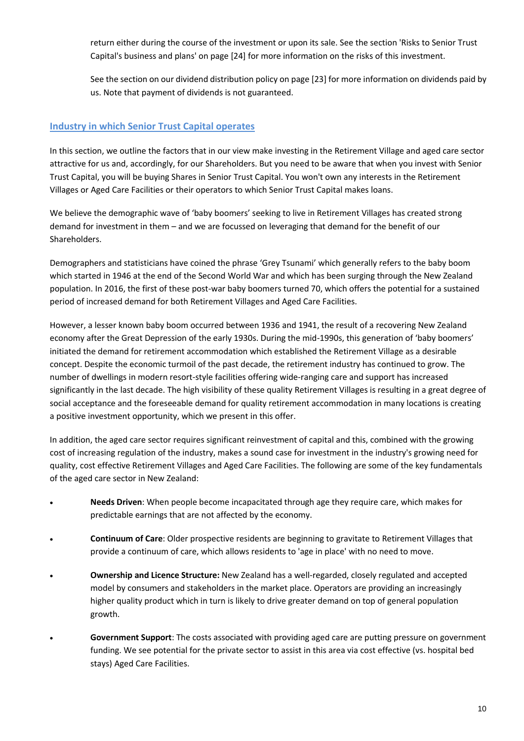return either during the course of the investment or upon its sale. See the section 'Risks to Senior Trust Capital's business and plans' on page [24] for more information on the risks of this investment.

See the section on our dividend distribution policy on page [23] for more information on dividends paid by us. Note that payment of dividends is not guaranteed.

#### **Industry in which Senior Trust Capital operates**

In this section, we outline the factors that in our view make investing in the Retirement Village and aged care sector attractive for us and, accordingly, for our Shareholders. But you need to be aware that when you invest with Senior Trust Capital, you will be buying Shares in Senior Trust Capital. You won't own any interests in the Retirement Villages or Aged Care Facilities or their operators to which Senior Trust Capital makes loans.

We believe the demographic wave of 'baby boomers' seeking to live in Retirement Villages has created strong demand for investment in them – and we are focussed on leveraging that demand for the benefit of our Shareholders.

Demographers and statisticians have coined the phrase 'Grey Tsunami' which generally refers to the baby boom which started in 1946 at the end of the Second World War and which has been surging through the New Zealand population. In 2016, the first of these post-war baby boomers turned 70, which offers the potential for a sustained period of increased demand for both Retirement Villages and Aged Care Facilities.

However, a lesser known baby boom occurred between 1936 and 1941, the result of a recovering New Zealand economy after the Great Depression of the early 1930s. During the mid-1990s, this generation of 'baby boomers' initiated the demand for retirement accommodation which established the Retirement Village as a desirable concept. Despite the economic turmoil of the past decade, the retirement industry has continued to grow. The number of dwellings in modern resort-style facilities offering wide-ranging care and support has increased significantly in the last decade. The high visibility of these quality Retirement Villages is resulting in a great degree of social acceptance and the foreseeable demand for quality retirement accommodation in many locations is creating a positive investment opportunity, which we present in this offer.

In addition, the aged care sector requires significant reinvestment of capital and this, combined with the growing cost of increasing regulation of the industry, makes a sound case for investment in the industry's growing need for quality, cost effective Retirement Villages and Aged Care Facilities. The following are some of the key fundamentals of the aged care sector in New Zealand:

- **Needs Driven**: When people become incapacitated through age they require care, which makes for predictable earnings that are not affected by the economy.
- **Continuum of Care**: Older prospective residents are beginning to gravitate to Retirement Villages that provide a continuum of care, which allows residents to 'age in place' with no need to move.
- **Ownership and Licence Structure:** New Zealand has a well-regarded, closely regulated and accepted model by consumers and stakeholders in the market place. Operators are providing an increasingly higher quality product which in turn is likely to drive greater demand on top of general population growth.
- **Government Support**: The costs associated with providing aged care are putting pressure on government funding. We see potential for the private sector to assist in this area via cost effective (vs. hospital bed stays) Aged Care Facilities.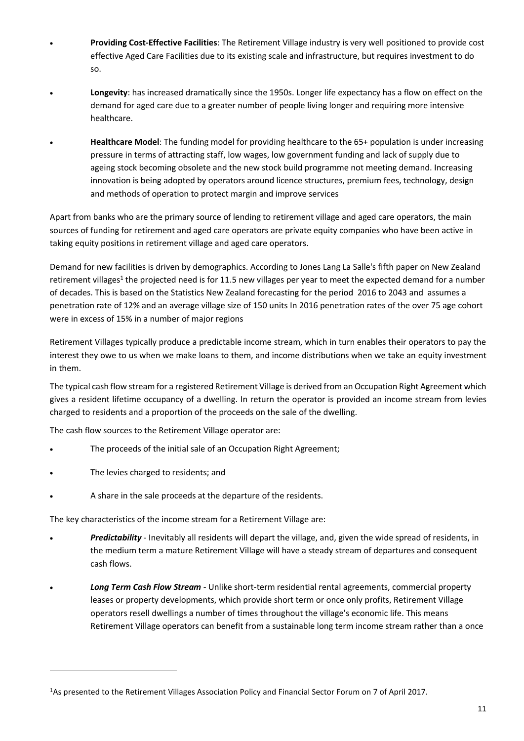- **Providing Cost-Effective Facilities**: The Retirement Village industry is very well positioned to provide cost effective Aged Care Facilities due to its existing scale and infrastructure, but requires investment to do so.
- **Longevity**: has increased dramatically since the 1950s. Longer life expectancy has a flow on effect on the demand for aged care due to a greater number of people living longer and requiring more intensive healthcare.
- **Healthcare Model**: The funding model for providing healthcare to the 65+ population is under increasing pressure in terms of attracting staff, low wages, low government funding and lack of supply due to ageing stock becoming obsolete and the new stock build programme not meeting demand. Increasing innovation is being adopted by operators around licence structures, premium fees, technology, design and methods of operation to protect margin and improve services

Apart from banks who are the primary source of lending to retirement village and aged care operators, the main sources of funding for retirement and aged care operators are private equity companies who have been active in taking equity positions in retirement village and aged care operators.

Demand for new facilities is driven by demographics. According to Jones Lang La Salle's fifth paper on New Zealand retirement villages<sup>1</sup> the projected need is for 11.5 new villages per year to meet the expected demand for a number of decades. This is based on the Statistics New Zealand forecasting for the period 2016 to 2043 and assumes a penetration rate of 12% and an average village size of 150 units In 2016 penetration rates of the over 75 age cohort were in excess of 15% in a number of major regions

Retirement Villages typically produce a predictable income stream, which in turn enables their operators to pay the interest they owe to us when we make loans to them, and income distributions when we take an equity investment in them.

The typical cash flow stream for a registered Retirement Village is derived from an Occupation Right Agreement which gives a resident lifetime occupancy of a dwelling. In return the operator is provided an income stream from levies charged to residents and a proportion of the proceeds on the sale of the dwelling.

The cash flow sources to the Retirement Village operator are:

- The proceeds of the initial sale of an Occupation Right Agreement;
- The levies charged to residents; and

1

A share in the sale proceeds at the departure of the residents.

The key characteristics of the income stream for a Retirement Village are:

- *Predictability* Inevitably all residents will depart the village, and, given the wide spread of residents, in the medium term a mature Retirement Village will have a steady stream of departures and consequent cash flows.
- *Long Term Cash Flow Stream* Unlike short-term residential rental agreements, commercial property leases or property developments, which provide short term or once only profits, Retirement Village operators resell dwellings a number of times throughout the village's economic life. This means Retirement Village operators can benefit from a sustainable long term income stream rather than a once

<sup>1</sup>As presented to the Retirement Villages Association Policy and Financial Sector Forum on 7 of April 2017.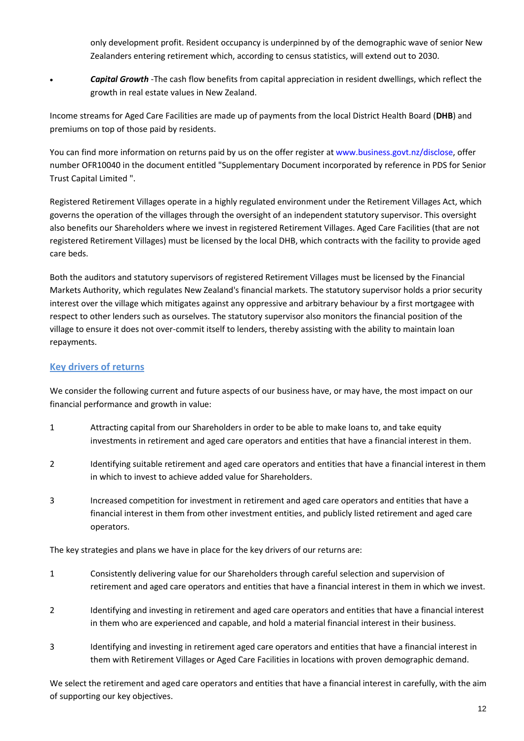only development profit. Resident occupancy is underpinned by of the demographic wave of senior New Zealanders entering retirement which, according to census statistics, will extend out to 2030.

 *Capital Growth* -The cash flow benefits from capital appreciation in resident dwellings, which reflect the growth in real estate values in New Zealand.

Income streams for Aged Care Facilities are made up of payments from the local District Health Board (**DHB**) and premiums on top of those paid by residents.

You can find more information on returns paid by us on the offer register a[t www.business.govt.nz/disclose,](http://www.business.govt.nz/disclose) offer number OFR10040 in the document entitled "Supplementary Document incorporated by reference in PDS for Senior Trust Capital Limited ".

Registered Retirement Villages operate in a highly regulated environment under the Retirement Villages Act, which governs the operation of the villages through the oversight of an independent statutory supervisor. This oversight also benefits our Shareholders where we invest in registered Retirement Villages. Aged Care Facilities (that are not registered Retirement Villages) must be licensed by the local DHB, which contracts with the facility to provide aged care beds.

Both the auditors and statutory supervisors of registered Retirement Villages must be licensed by the Financial Markets Authority, which regulates New Zealand's financial markets. The statutory supervisor holds a prior security interest over the village which mitigates against any oppressive and arbitrary behaviour by a first mortgagee with respect to other lenders such as ourselves. The statutory supervisor also monitors the financial position of the village to ensure it does not over-commit itself to lenders, thereby assisting with the ability to maintain loan repayments.

#### **Key drivers of returns**

We consider the following current and future aspects of our business have, or may have, the most impact on our financial performance and growth in value:

- 1 Attracting capital from our Shareholders in order to be able to make loans to, and take equity investments in retirement and aged care operators and entities that have a financial interest in them.
- 2 Identifying suitable retirement and aged care operators and entities that have a financial interest in them in which to invest to achieve added value for Shareholders.
- 3 Increased competition for investment in retirement and aged care operators and entities that have a financial interest in them from other investment entities, and publicly listed retirement and aged care operators.

The key strategies and plans we have in place for the key drivers of our returns are:

- 1 Consistently delivering value for our Shareholders through careful selection and supervision of retirement and aged care operators and entities that have a financial interest in them in which we invest.
- 2 Identifying and investing in retirement and aged care operators and entities that have a financial interest in them who are experienced and capable, and hold a material financial interest in their business.
- 3 Identifying and investing in retirement aged care operators and entities that have a financial interest in them with Retirement Villages or Aged Care Facilities in locations with proven demographic demand.

We select the retirement and aged care operators and entities that have a financial interest in carefully, with the aim of supporting our key objectives.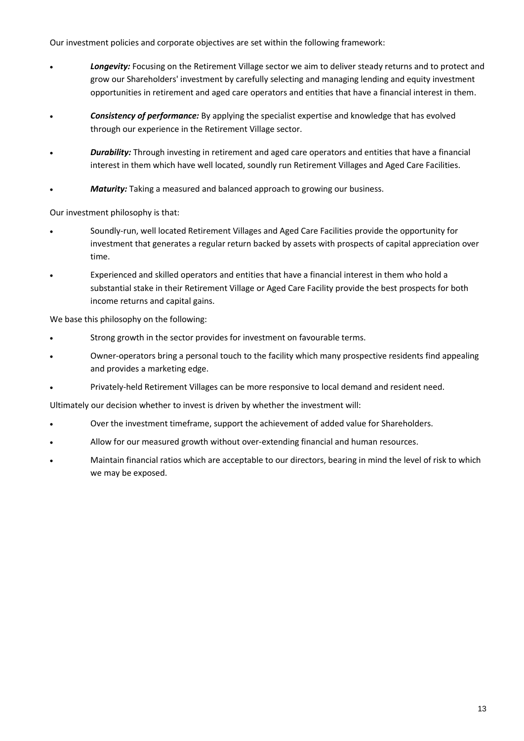Our investment policies and corporate objectives are set within the following framework:

- *Longevity:* Focusing on the Retirement Village sector we aim to deliver steady returns and to protect and grow our Shareholders' investment by carefully selecting and managing lending and equity investment opportunities in retirement and aged care operators and entities that have a financial interest in them.
- *Consistency of performance:* By applying the specialist expertise and knowledge that has evolved through our experience in the Retirement Village sector.
- *Durability:* Through investing in retirement and aged care operators and entities that have a financial interest in them which have well located, soundly run Retirement Villages and Aged Care Facilities.
- *Maturity:* Taking a measured and balanced approach to growing our business.

Our investment philosophy is that:

- Soundly-run, well located Retirement Villages and Aged Care Facilities provide the opportunity for investment that generates a regular return backed by assets with prospects of capital appreciation over time.
- Experienced and skilled operators and entities that have a financial interest in them who hold a substantial stake in their Retirement Village or Aged Care Facility provide the best prospects for both income returns and capital gains.

We base this philosophy on the following:

- Strong growth in the sector provides for investment on favourable terms.
- Owner-operators bring a personal touch to the facility which many prospective residents find appealing and provides a marketing edge.
- Privately-held Retirement Villages can be more responsive to local demand and resident need.

Ultimately our decision whether to invest is driven by whether the investment will:

- Over the investment timeframe, support the achievement of added value for Shareholders.
- Allow for our measured growth without over-extending financial and human resources.
- Maintain financial ratios which are acceptable to our directors, bearing in mind the level of risk to which we may be exposed.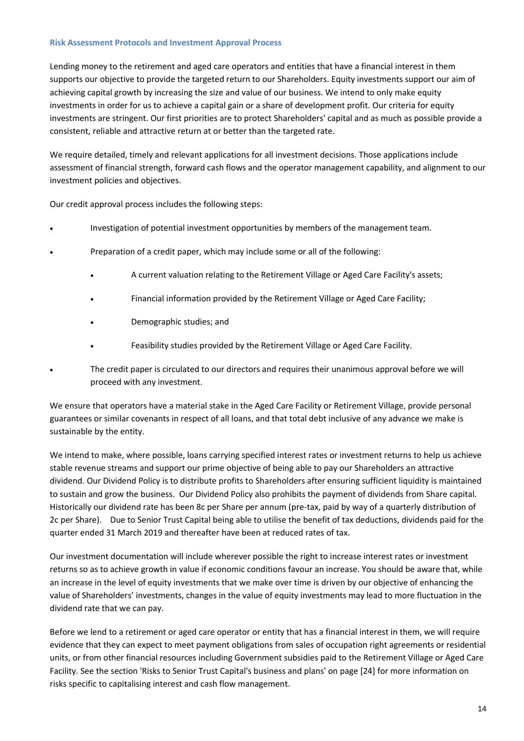#### **Risk Assessment Protocols and Investment Approval Process**

Lending money to the retirement and aged care operators and entities that have a financial interest in them supports our objective to provide the targeted return to our Shareholders. Equity investments support our aim of achieving capital growth by increasing the size and value of our business. We intend to only make equity investments in order for us to achieve a capital gain or a share of development profit. Our criteria for equity investments are stringent. Our first priorities are to protect Shareholders' capital and as much as possible provide a consistent, reliable and attractive return at or better than the targeted rate.

We require detailed, timely and relevant applications for all investment decisions. Those applications include assessment of financial strength, forward cash flows and the operator management capability, and alignment to our investment policies and objectives.

Our credit approval process includes the following steps:

- Investigation of potential investment opportunities by members of the management team.
- Preparation of a credit paper, which may include some or all of the following:
	- A current valuation relating to the Retirement Village or Aged Care Facility's assets;
	- Financial information provided by the Retirement Village or Aged Care Facility;
	- Demographic studies; and
	- Feasibility studies provided by the Retirement Village or Aged Care Facility.
- The credit paper is circulated to our directors and requires their unanimous approval before we will proceed with any investment.

We ensure that operators have a material stake in the Aged Care Facility or Retirement Village, provide personal guarantees or similar covenants in respect of all loans, and that total debt inclusive of any advance we make is sustainable by the entity.

We intend to make, where possible, loans carrying specified interest rates or investment returns to help us achieve stable revenue streams and support our prime objective of being able to pay our Shareholders an attractive dividend. Our Dividend Policy is to distribute profits to Shareholders after ensuring sufficient liquidity is maintained to sustain and grow the business. Our Dividend Policy also prohibits the payment of dividends from Share capital. Historically our dividend rate has been 8c per Share per annum (pre-tax, paid by way of a quarterly distribution of 2c per Share). Due to Senior Trust Capital being able to utilise the benefit of tax deductions, dividends paid for the quarter ended 31 March 2019 and thereafter have been at reduced rates of tax.

Our investment documentation will include wherever possible the right to increase interest rates or investment returns so as to achieve growth in value if economic conditions favour an increase. You should be aware that, while an increase in the level of equity investments that we make over time is driven by our objective of enhancing the value of Shareholders' investments, changes in the value of equity investments may lead to more fluctuation in the dividend rate that we can pay.

Before we lend to a retirement or aged care operator or entity that has a financial interest in them, we will require evidence that they can expect to meet payment obligations from sales of occupation right agreements or residential units, or from other financial resources including Government subsidies paid to the Retirement Village or Aged Care Facility. See the section 'Risks to Senior Trust Capital's business and plans' on page [24] for more information on risks specific to capitalising interest and cash flow management.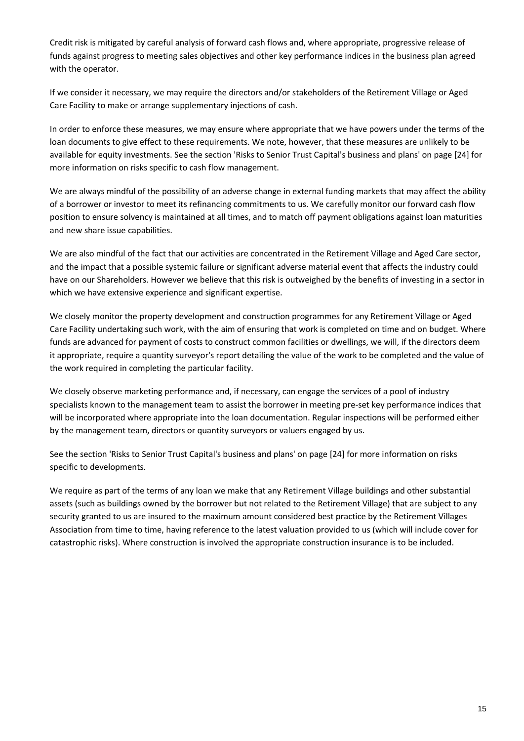Credit risk is mitigated by careful analysis of forward cash flows and, where appropriate, progressive release of funds against progress to meeting sales objectives and other key performance indices in the business plan agreed with the operator.

If we consider it necessary, we may require the directors and/or stakeholders of the Retirement Village or Aged Care Facility to make or arrange supplementary injections of cash.

In order to enforce these measures, we may ensure where appropriate that we have powers under the terms of the loan documents to give effect to these requirements. We note, however, that these measures are unlikely to be available for equity investments. See the section 'Risks to Senior Trust Capital's business and plans' on page [24] for more information on risks specific to cash flow management.

We are always mindful of the possibility of an adverse change in external funding markets that may affect the ability of a borrower or investor to meet its refinancing commitments to us. We carefully monitor our forward cash flow position to ensure solvency is maintained at all times, and to match off payment obligations against loan maturities and new share issue capabilities.

We are also mindful of the fact that our activities are concentrated in the Retirement Village and Aged Care sector, and the impact that a possible systemic failure or significant adverse material event that affects the industry could have on our Shareholders. However we believe that this risk is outweighed by the benefits of investing in a sector in which we have extensive experience and significant expertise.

We closely monitor the property development and construction programmes for any Retirement Village or Aged Care Facility undertaking such work, with the aim of ensuring that work is completed on time and on budget. Where funds are advanced for payment of costs to construct common facilities or dwellings, we will, if the directors deem it appropriate, require a quantity surveyor's report detailing the value of the work to be completed and the value of the work required in completing the particular facility.

We closely observe marketing performance and, if necessary, can engage the services of a pool of industry specialists known to the management team to assist the borrower in meeting pre-set key performance indices that will be incorporated where appropriate into the loan documentation. Regular inspections will be performed either by the management team, directors or quantity surveyors or valuers engaged by us.

See the section 'Risks to Senior Trust Capital's business and plans' on page [24] for more information on risks specific to developments.

We require as part of the terms of any loan we make that any Retirement Village buildings and other substantial assets (such as buildings owned by the borrower but not related to the Retirement Village) that are subject to any security granted to us are insured to the maximum amount considered best practice by the Retirement Villages Association from time to time, having reference to the latest valuation provided to us (which will include cover for catastrophic risks). Where construction is involved the appropriate construction insurance is to be included.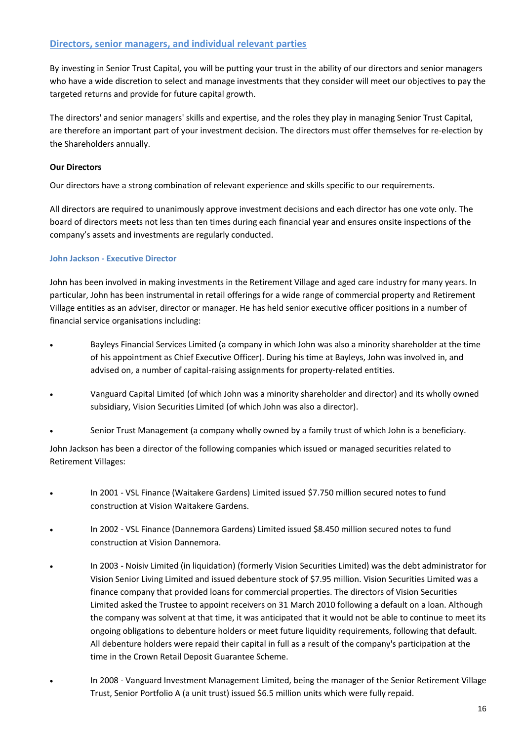#### **Directors, senior managers, and individual relevant parties**

By investing in Senior Trust Capital, you will be putting your trust in the ability of our directors and senior managers who have a wide discretion to select and manage investments that they consider will meet our objectives to pay the targeted returns and provide for future capital growth.

The directors' and senior managers' skills and expertise, and the roles they play in managing Senior Trust Capital, are therefore an important part of your investment decision. The directors must offer themselves for re-election by the Shareholders annually.

#### **Our Directors**

Our directors have a strong combination of relevant experience and skills specific to our requirements.

All directors are required to unanimously approve investment decisions and each director has one vote only. The board of directors meets not less than ten times during each financial year and ensures onsite inspections of the company's assets and investments are regularly conducted.

#### **John Jackson - Executive Director**

John has been involved in making investments in the Retirement Village and aged care industry for many years. In particular, John has been instrumental in retail offerings for a wide range of commercial property and Retirement Village entities as an adviser, director or manager. He has held senior executive officer positions in a number of financial service organisations including:

- Bayleys Financial Services Limited (a company in which John was also a minority shareholder at the time of his appointment as Chief Executive Officer). During his time at Bayleys, John was involved in, and advised on, a number of capital-raising assignments for property-related entities.
- Vanguard Capital Limited (of which John was a minority shareholder and director) and its wholly owned subsidiary, Vision Securities Limited (of which John was also a director).
- Senior Trust Management (a company wholly owned by a family trust of which John is a beneficiary.

John Jackson has been a director of the following companies which issued or managed securities related to Retirement Villages:

- In 2001 VSL Finance (Waitakere Gardens) Limited issued \$7.750 million secured notes to fund construction at Vision Waitakere Gardens.
- In 2002 VSL Finance (Dannemora Gardens) Limited issued \$8.450 million secured notes to fund construction at Vision Dannemora.
- In 2003 Noisiv Limited (in liquidation) (formerly Vision Securities Limited) was the debt administrator for Vision Senior Living Limited and issued debenture stock of \$7.95 million. Vision Securities Limited was a finance company that provided loans for commercial properties. The directors of Vision Securities Limited asked the Trustee to appoint receivers on 31 March 2010 following a default on a loan. Although the company was solvent at that time, it was anticipated that it would not be able to continue to meet its ongoing obligations to debenture holders or meet future liquidity requirements, following that default. All debenture holders were repaid their capital in full as a result of the company's participation at the time in the Crown Retail Deposit Guarantee Scheme.
- In 2008 Vanguard Investment Management Limited, being the manager of the Senior Retirement Village Trust, Senior Portfolio A (a unit trust) issued \$6.5 million units which were fully repaid.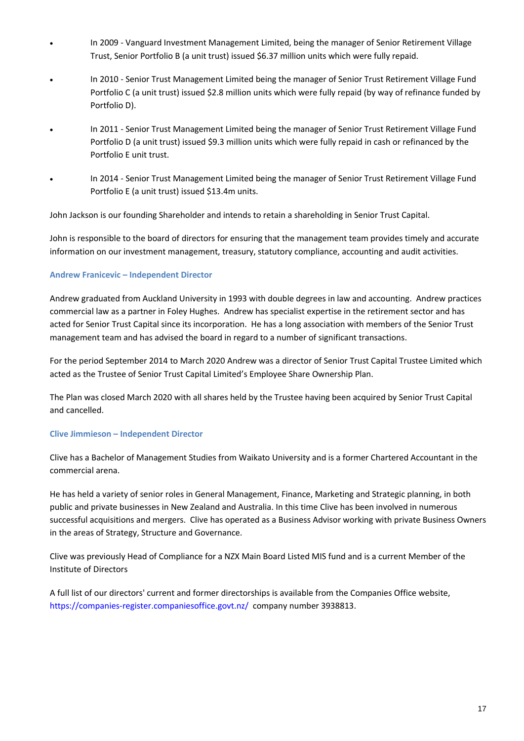- In 2009 Vanguard Investment Management Limited, being the manager of Senior Retirement Village Trust, Senior Portfolio B (a unit trust) issued \$6.37 million units which were fully repaid.
- In 2010 Senior Trust Management Limited being the manager of Senior Trust Retirement Village Fund Portfolio C (a unit trust) issued \$2.8 million units which were fully repaid (by way of refinance funded by Portfolio D).
- In 2011 Senior Trust Management Limited being the manager of Senior Trust Retirement Village Fund Portfolio D (a unit trust) issued \$9.3 million units which were fully repaid in cash or refinanced by the Portfolio E unit trust.
- In 2014 Senior Trust Management Limited being the manager of Senior Trust Retirement Village Fund Portfolio E (a unit trust) issued \$13.4m units.

John Jackson is our founding Shareholder and intends to retain a shareholding in Senior Trust Capital.

John is responsible to the board of directors for ensuring that the management team provides timely and accurate information on our investment management, treasury, statutory compliance, accounting and audit activities.

#### **Andrew Franicevic – Independent Director**

Andrew graduated from Auckland University in 1993 with double degrees in law and accounting. Andrew practices commercial law as a partner in Foley Hughes. Andrew has specialist expertise in the retirement sector and has acted for Senior Trust Capital since its incorporation. He has a long association with members of the Senior Trust management team and has advised the board in regard to a number of significant transactions.

For the period September 2014 to March 2020 Andrew was a director of Senior Trust Capital Trustee Limited which acted as the Trustee of Senior Trust Capital Limited's Employee Share Ownership Plan.

The Plan was closed March 2020 with all shares held by the Trustee having been acquired by Senior Trust Capital and cancelled.

#### **Clive Jimmieson – Independent Director**

Clive has a Bachelor of Management Studies from Waikato University and is a former Chartered Accountant in the commercial arena.

He has held a variety of senior roles in General Management, Finance, Marketing and Strategic planning, in both public and private businesses in New Zealand and Australia. In this time Clive has been involved in numerous successful acquisitions and mergers. Clive has operated as a Business Advisor working with private Business Owners in the areas of Strategy, Structure and Governance.

Clive was previously Head of Compliance for a NZX Main Board Listed MIS fund and is a current Member of the Institute of Directors

A full list of our directors' current and former directorships is available from the Companies Office website, <https://companies-register.companiesoffice.govt.nz/>company number 3938813.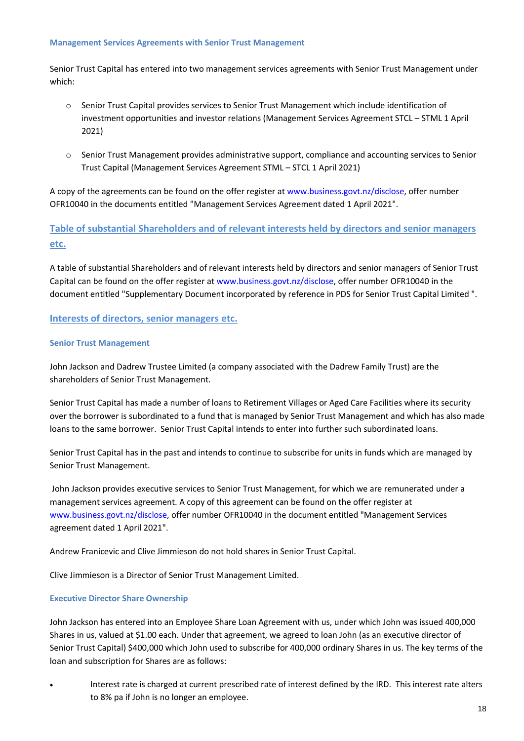#### **Management Services Agreements with Senior Trust Management**

Senior Trust Capital has entered into two management services agreements with Senior Trust Management under which:

- o Senior Trust Capital provides services to Senior Trust Management which include identification of investment opportunities and investor relations (Management Services Agreement STCL – STML 1 April 2021)
- o Senior Trust Management provides administrative support, compliance and accounting services to Senior Trust Capital (Management Services Agreement STML – STCL 1 April 2021)

A copy of the agreements can be found on the offer register a[t www.business.govt.nz/disclose,](http://www.business.govt.nz/disclose) offer number OFR10040 in the documents entitled "Management Services Agreement dated 1 April 2021".

### **Table of substantial Shareholders and of relevant interests held by directors and senior managers etc.**

A table of substantial Shareholders and of relevant interests held by directors and senior managers of Senior Trust Capital can be found on the offer register at [www.business.govt.nz/disclose,](http://www.business.govt.nz/disclose) offer number OFR10040 in the document entitled "Supplementary Document incorporated by reference in PDS for Senior Trust Capital Limited ".

#### **Interests of directors, senior managers etc.**

#### **Senior Trust Management**

John Jackson and Dadrew Trustee Limited (a company associated with the Dadrew Family Trust) are the shareholders of Senior Trust Management.

Senior Trust Capital has made a number of loans to Retirement Villages or Aged Care Facilities where its security over the borrower is subordinated to a fund that is managed by Senior Trust Management and which has also made loans to the same borrower. Senior Trust Capital intends to enter into further such subordinated loans.

Senior Trust Capital has in the past and intends to continue to subscribe for units in funds which are managed by Senior Trust Management.

John Jackson provides executive services to Senior Trust Management, for which we are remunerated under a management services agreement. A copy of this agreement can be found on the offer register at [www.business.govt.nz/disclose,](http://www.business.govt.nz/disclose) offer number OFR10040 in the document entitled "Management Services agreement dated 1 April 2021".

Andrew Franicevic and Clive Jimmieson do not hold shares in Senior Trust Capital.

Clive Jimmieson is a Director of Senior Trust Management Limited.

#### **Executive Director Share Ownership**

John Jackson has entered into an Employee Share Loan Agreement with us, under which John was issued 400,000 Shares in us, valued at \$1.00 each. Under that agreement, we agreed to loan John (as an executive director of Senior Trust Capital) \$400,000 which John used to subscribe for 400,000 ordinary Shares in us. The key terms of the loan and subscription for Shares are as follows:

 Interest rate is charged at current prescribed rate of interest defined by the IRD. This interest rate alters to 8% pa if John is no longer an employee.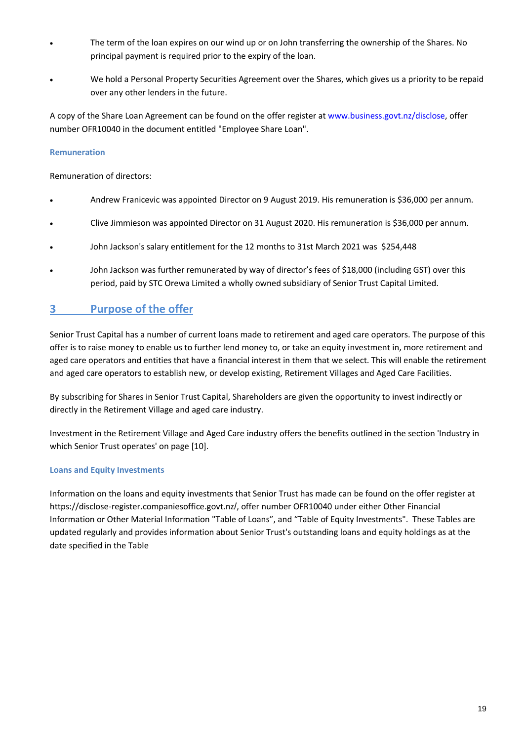- The term of the loan expires on our wind up or on John transferring the ownership of the Shares. No principal payment is required prior to the expiry of the loan.
- We hold a Personal Property Securities Agreement over the Shares, which gives us a priority to be repaid over any other lenders in the future.

A copy of the Share Loan Agreement can be found on the offer register a[t www.business.govt.nz/disclose,](http://www.business.govt.nz/disclose) offer number OFR10040 in the document entitled "Employee Share Loan".

#### **Remuneration**

Remuneration of directors:

- Andrew Franicevic was appointed Director on 9 August 2019. His remuneration is \$36,000 per annum.
- Clive Jimmieson was appointed Director on 31 August 2020. His remuneration is \$36,000 per annum.
- John Jackson's salary entitlement for the 12 months to 31st March 2021 was \$254,448
- John Jackson was further remunerated by way of director's fees of \$18,000 (including GST) over this period, paid by STC Orewa Limited a wholly owned subsidiary of Senior Trust Capital Limited.

## **3 Purpose of the offer**

Senior Trust Capital has a number of current loans made to retirement and aged care operators. The purpose of this offer is to raise money to enable us to further lend money to, or take an equity investment in, more retirement and aged care operators and entities that have a financial interest in them that we select. This will enable the retirement and aged care operators to establish new, or develop existing, Retirement Villages and Aged Care Facilities.

By subscribing for Shares in Senior Trust Capital, Shareholders are given the opportunity to invest indirectly or directly in the Retirement Village and aged care industry.

Investment in the Retirement Village and Aged Care industry offers the benefits outlined in the section 'Industry in which Senior Trust operates' on page [10].

#### **Loans and Equity Investments**

Information on the loans and equity investments that Senior Trust has made can be found on the offer register at https://disclose-register.companiesoffice.govt.nz/, offer number OFR10040 under either Other Financial Information or Other Material Information "Table of Loans", and "Table of Equity Investments". These Tables are updated regularly and provides information about Senior Trust's outstanding loans and equity holdings as at the date specified in the Table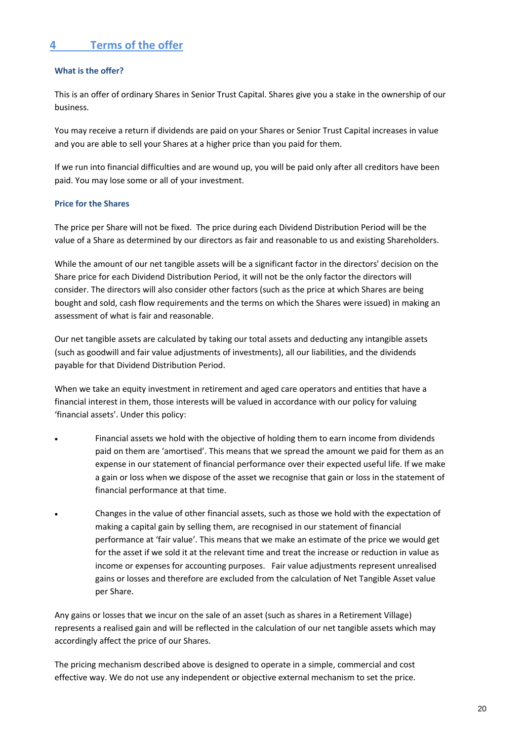## **4 Terms of the offer**

#### **What is the offer?**

This is an offer of ordinary Shares in Senior Trust Capital. Shares give you a stake in the ownership of our business.

You may receive a return if dividends are paid on your Shares or Senior Trust Capital increases in value and you are able to sell your Shares at a higher price than you paid for them.

If we run into financial difficulties and are wound up, you will be paid only after all creditors have been paid. You may lose some or all of your investment.

#### **Price for the Shares**

The price per Share will not be fixed. The price during each Dividend Distribution Period will be the value of a Share as determined by our directors as fair and reasonable to us and existing Shareholders.

While the amount of our net tangible assets will be a significant factor in the directors' decision on the Share price for each Dividend Distribution Period, it will not be the only factor the directors will consider. The directors will also consider other factors (such as the price at which Shares are being bought and sold, cash flow requirements and the terms on which the Shares were issued) in making an assessment of what is fair and reasonable.

Our net tangible assets are calculated by taking our total assets and deducting any intangible assets (such as goodwill and fair value adjustments of investments), all our liabilities, and the dividends payable for that Dividend Distribution Period.

When we take an equity investment in retirement and aged care operators and entities that have a financial interest in them, those interests will be valued in accordance with our policy for valuing 'financial assets'. Under this policy:

- Financial assets we hold with the objective of holding them to earn income from dividends paid on them are 'amortised'. This means that we spread the amount we paid for them as an expense in our statement of financial performance over their expected useful life. If we make a gain or loss when we dispose of the asset we recognise that gain or loss in the statement of financial performance at that time.
- Changes in the value of other financial assets, such as those we hold with the expectation of making a capital gain by selling them, are recognised in our statement of financial performance at 'fair value'. This means that we make an estimate of the price we would get for the asset if we sold it at the relevant time and treat the increase or reduction in value as income or expenses for accounting purposes. Fair value adjustments represent unrealised gains or losses and therefore are excluded from the calculation of Net Tangible Asset value per Share.

Any gains or losses that we incur on the sale of an asset (such as shares in a Retirement Village) represents a realised gain and will be reflected in the calculation of our net tangible assets which may accordingly affect the price of our Shares.

The pricing mechanism described above is designed to operate in a simple, commercial and cost effective way. We do not use any independent or objective external mechanism to set the price.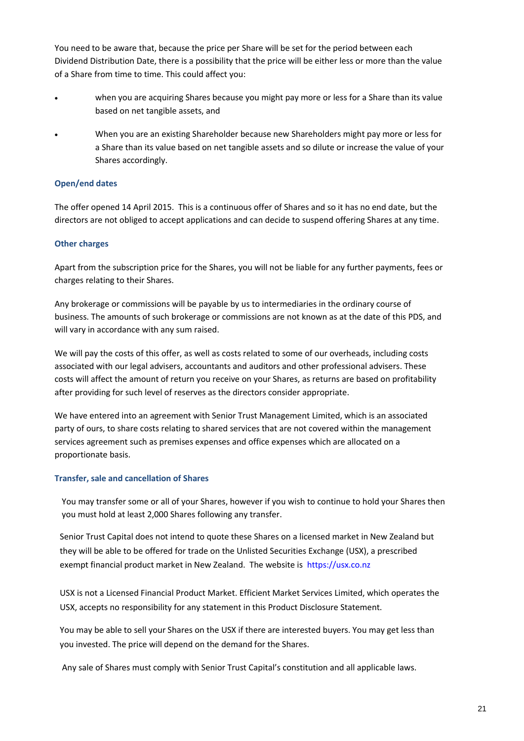You need to be aware that, because the price per Share will be set for the period between each Dividend Distribution Date, there is a possibility that the price will be either less or more than the value of a Share from time to time. This could affect you:

- when you are acquiring Shares because you might pay more or less for a Share than its value based on net tangible assets, and
- When you are an existing Shareholder because new Shareholders might pay more or less for a Share than its value based on net tangible assets and so dilute or increase the value of your Shares accordingly.

#### **Open/end dates**

The offer opened 14 April 2015. This is a continuous offer of Shares and so it has no end date, but the directors are not obliged to accept applications and can decide to suspend offering Shares at any time.

#### **Other charges**

Apart from the subscription price for the Shares, you will not be liable for any further payments, fees or charges relating to their Shares.

Any brokerage or commissions will be payable by us to intermediaries in the ordinary course of business. The amounts of such brokerage or commissions are not known as at the date of this PDS, and will vary in accordance with any sum raised.

We will pay the costs of this offer, as well as costs related to some of our overheads, including costs associated with our legal advisers, accountants and auditors and other professional advisers. These costs will affect the amount of return you receive on your Shares, as returns are based on profitability after providing for such level of reserves as the directors consider appropriate.

We have entered into an agreement with Senior Trust Management Limited, which is an associated party of ours, to share costs relating to shared services that are not covered within the management services agreement such as premises expenses and office expenses which are allocated on a proportionate basis.

#### **Transfer, sale and cancellation of Shares**

You may transfer some or all of your Shares, however if you wish to continue to hold your Shares then you must hold at least 2,000 Shares following any transfer.

Senior Trust Capital does not intend to quote these Shares on a licensed market in New Zealand but they will be able to be offered for trade on the Unlisted Securities Exchange (USX), a prescribed exempt financial product market in New Zealand. The website is [https://usx.co.nz](https://usx.co.nz/) 

USX is not a Licensed Financial Product Market. Efficient Market Services Limited, which operates the USX, accepts no responsibility for any statement in this Product Disclosure Statement.

You may be able to sell your Shares on the USX if there are interested buyers. You may get less than you invested. The price will depend on the demand for the Shares.

Any sale of Shares must comply with Senior Trust Capital's constitution and all applicable laws.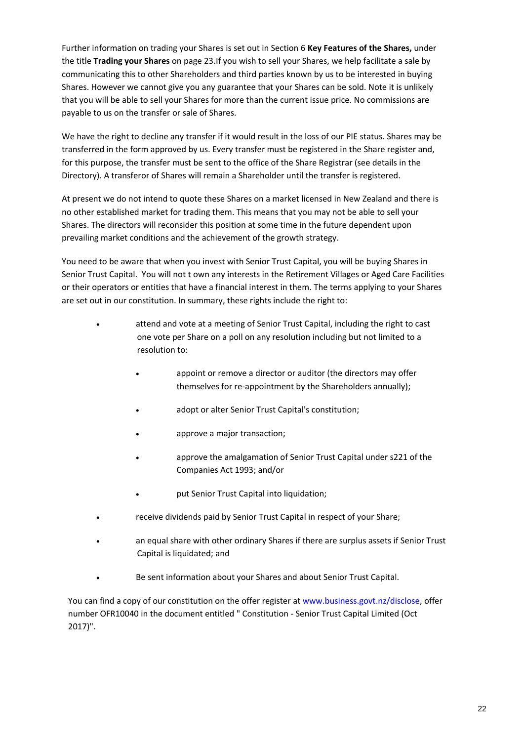Further information on trading your Shares is set out in Section 6 **Key Features of the Shares,** under the title **Trading your Shares** on page 23.If you wish to sell your Shares, we help facilitate a sale by communicating this to other Shareholders and third parties known by us to be interested in buying Shares. However we cannot give you any guarantee that your Shares can be sold. Note it is unlikely that you will be able to sell your Shares for more than the current issue price. No commissions are payable to us on the transfer or sale of Shares.

We have the right to decline any transfer if it would result in the loss of our PIE status. Shares may be transferred in the form approved by us. Every transfer must be registered in the Share register and, for this purpose, the transfer must be sent to the office of the Share Registrar (see details in the Directory). A transferor of Shares will remain a Shareholder until the transfer is registered.

At present we do not intend to quote these Shares on a market licensed in New Zealand and there is no other established market for trading them. This means that you may not be able to sell your Shares. The directors will reconsider this position at some time in the future dependent upon prevailing market conditions and the achievement of the growth strategy.

You need to be aware that when you invest with Senior Trust Capital, you will be buying Shares in Senior Trust Capital. You will not t own any interests in the Retirement Villages or Aged Care Facilities or their operators or entities that have a financial interest in them. The terms applying to your Shares are set out in our constitution. In summary, these rights include the right to:

- attend and vote at a meeting of Senior Trust Capital, including the right to cast one vote per Share on a poll on any resolution including but not limited to a resolution to:
	- appoint or remove a director or auditor (the directors may offer themselves for re-appointment by the Shareholders annually);
	- adopt or alter Senior Trust Capital's constitution;
	- approve a major transaction;
	- approve the amalgamation of Senior Trust Capital under s221 of the Companies Act 1993; and/or
	- put Senior Trust Capital into liquidation;
- receive dividends paid by Senior Trust Capital in respect of your Share;
- an equal share with other ordinary Shares if there are surplus assets if Senior Trust Capital is liquidated; and
- Be sent information about your Shares and about Senior Trust Capital.

You can find a copy of our constitution on the offer register at [www.business.govt.nz/disclose,](http://www.business.govt.nz/disclose) offer number OFR10040 in the document entitled " Constitution - Senior Trust Capital Limited (Oct 2017)".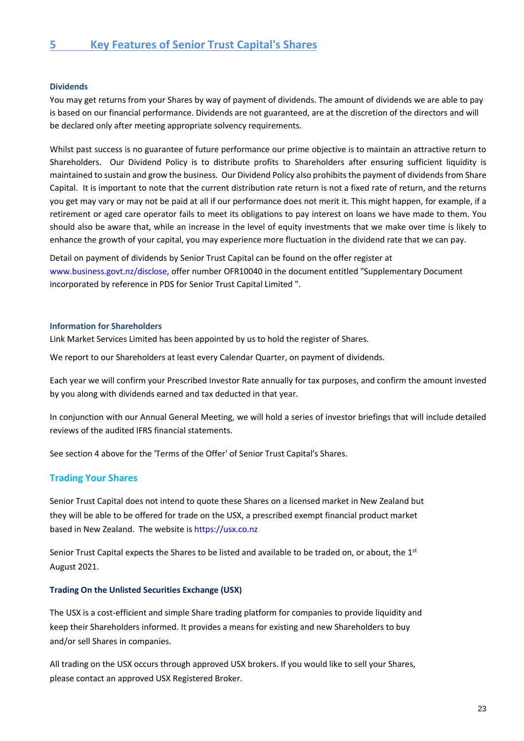#### **Dividends**

You may get returns from your Shares by way of payment of dividends. The amount of dividends we are able to pay is based on our financial performance. Dividends are not guaranteed, are at the discretion of the directors and will be declared only after meeting appropriate solvency requirements.

Whilst past success is no guarantee of future performance our prime objective is to maintain an attractive return to Shareholders. Our Dividend Policy is to distribute profits to Shareholders after ensuring sufficient liquidity is maintained to sustain and grow the business. Our Dividend Policy also prohibits the payment of dividends from Share Capital. It is important to note that the current distribution rate return is not a fixed rate of return, and the returns you get may vary or may not be paid at all if our performance does not merit it. This might happen, for example, if a retirement or aged care operator fails to meet its obligations to pay interest on loans we have made to them. You should also be aware that, while an increase in the level of equity investments that we make over time is likely to enhance the growth of your capital, you may experience more fluctuation in the dividend rate that we can pay.

Detail on payment of dividends by Senior Trust Capital can be found on the offer register at [www.business.govt.nz/disclose,](http://www.business.govt.nz/disclose) offer number OFR10040 in the document entitled "Supplementary Document incorporated by reference in PDS for Senior Trust Capital Limited ".

#### **Information for Shareholders**

Link Market Services Limited has been appointed by us to hold the register of Shares.

We report to our Shareholders at least every Calendar Quarter, on payment of dividends.

Each year we will confirm your Prescribed Investor Rate annually for tax purposes, and confirm the amount invested by you along with dividends earned and tax deducted in that year.

In conjunction with our Annual General Meeting, we will hold a series of investor briefings that will include detailed reviews of the audited IFRS financial statements.

See section 4 above for the 'Terms of the Offer' of Senior Trust Capital's Shares.

#### **Trading Your Shares**

Senior Trust Capital does not intend to quote these Shares on a licensed market in New Zealand but they will be able to be offered for trade on the USX, a prescribed exempt financial product market based in New Zealand. The website i[s https://usx.co.nz](https://usx.co.nz/) 

Senior Trust Capital expects the Shares to be listed and available to be traded on, or about, the 1<sup>st</sup> August 2021.

#### **Trading On the Unlisted Securities Exchange (USX)**

The USX is a cost-efficient and simple Share trading platform for companies to provide liquidity and keep their Shareholders informed. It provides a means for existing and new Shareholders to buy and/or sell Shares in companies.

All trading on the USX occurs through approved USX brokers. If you would like to sell your Shares, please contact an approved USX Registered Broker.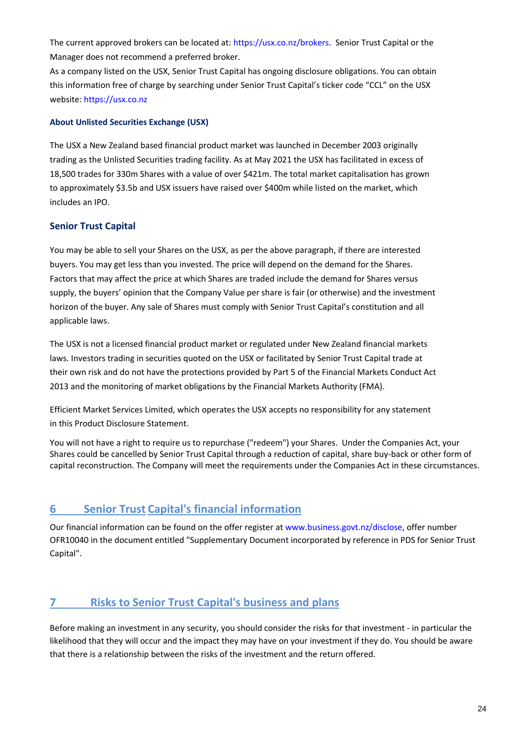The current approved brokers can be located at: [https://usx.co.nz/brokers.](https://usx.co.nz/brokers) Senior Trust Capital or the Manager does not recommend a preferred broker.

As a company listed on the USX, Senior Trust Capital has ongoing disclosure obligations. You can obtain this information free of charge by searching under Senior Trust Capital's ticker code "CCL" on the USX website[: https://usx.co.nz](https://usx.co.nz/) 

#### **About Unlisted Securities Exchange (USX)**

The USX a New Zealand based financial product market was launched in December 2003 originally trading as the Unlisted Securities trading facility. As at May 2021 the USX has facilitated in excess of 18,500 trades for 330m Shares with a value of over \$421m. The total market capitalisation has grown to approximately \$3.5b and USX issuers have raised over \$400m while listed on the market, which includes an IPO.

#### **Senior Trust Capital**

You may be able to sell your Shares on the USX, as per the above paragraph, if there are interested buyers. You may get less than you invested. The price will depend on the demand for the Shares. Factors that may affect the price at which Shares are traded include the demand for Shares versus supply, the buyers' opinion that the Company Value per share is fair (or otherwise) and the investment horizon of the buyer. Any sale of Shares must comply with Senior Trust Capital's constitution and all applicable laws.

The USX is not a licensed financial product market or regulated under New Zealand financial markets laws. Investors trading in securities quoted on the USX or facilitated by Senior Trust Capital trade at their own risk and do not have the protections provided by Part 5 of the Financial Markets Conduct Act 2013 and the monitoring of market obligations by the Financial Markets Authority (FMA).

Efficient Market Services Limited, which operates the USX accepts no responsibility for any statement in this Product Disclosure Statement.

You will not have a right to require us to repurchase ("redeem") your Shares. Under the Companies Act, your Shares could be cancelled by Senior Trust Capital through a reduction of capital, share buy-back or other form of capital reconstruction. The Company will meet the requirements under the Companies Act in these circumstances.

## **6 Senior Trust Capital's financial information**

Our financial information can be found on the offer register at [www.business.govt.nz/disclose,](http://www.business.govt.nz/disclose) offer number OFR10040 in the document entitled "Supplementary Document incorporated by reference in PDS for Senior Trust Capital".

## **7 Risks to Senior Trust Capital's business and plans**

Before making an investment in any security, you should consider the risks for that investment - in particular the likelihood that they will occur and the impact they may have on your investment if they do. You should be aware that there is a relationship between the risks of the investment and the return offered.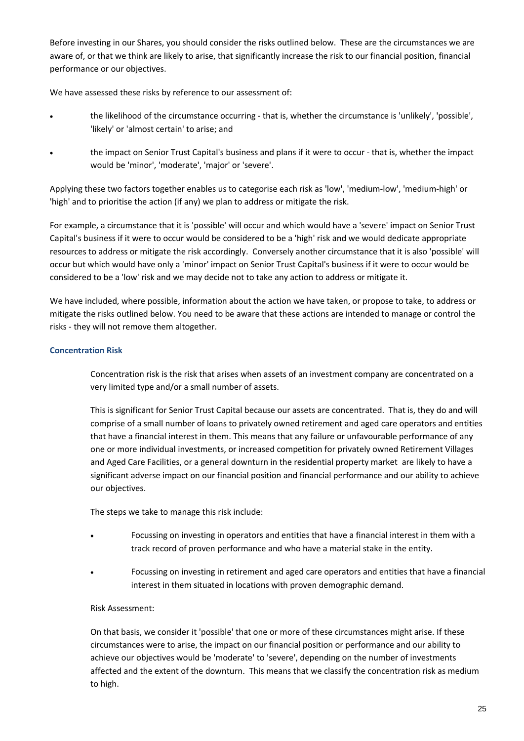Before investing in our Shares, you should consider the risks outlined below. These are the circumstances we are aware of, or that we think are likely to arise, that significantly increase the risk to our financial position, financial performance or our objectives.

We have assessed these risks by reference to our assessment of:

- the likelihood of the circumstance occurring that is, whether the circumstance is 'unlikely', 'possible', 'likely' or 'almost certain' to arise; and
- the impact on Senior Trust Capital's business and plans if it were to occur that is, whether the impact would be 'minor', 'moderate', 'major' or 'severe'.

Applying these two factors together enables us to categorise each risk as 'low', 'medium-low', 'medium-high' or 'high' and to prioritise the action (if any) we plan to address or mitigate the risk.

For example, a circumstance that it is 'possible' will occur and which would have a 'severe' impact on Senior Trust Capital's business if it were to occur would be considered to be a 'high' risk and we would dedicate appropriate resources to address or mitigate the risk accordingly. Conversely another circumstance that it is also 'possible' will occur but which would have only a 'minor' impact on Senior Trust Capital's business if it were to occur would be considered to be a 'low' risk and we may decide not to take any action to address or mitigate it.

We have included, where possible, information about the action we have taken, or propose to take, to address or mitigate the risks outlined below. You need to be aware that these actions are intended to manage or control the risks - they will not remove them altogether.

#### **Concentration Risk**

Concentration risk is the risk that arises when assets of an investment company are concentrated on a very limited type and/or a small number of assets.

This is significant for Senior Trust Capital because our assets are concentrated. That is, they do and will comprise of a small number of loans to privately owned retirement and aged care operators and entities that have a financial interest in them. This means that any failure or unfavourable performance of any one or more individual investments, or increased competition for privately owned Retirement Villages and Aged Care Facilities, or a general downturn in the residential property market are likely to have a significant adverse impact on our financial position and financial performance and our ability to achieve our objectives.

The steps we take to manage this risk include:

- Focussing on investing in operators and entities that have a financial interest in them with a track record of proven performance and who have a material stake in the entity.
- Focussing on investing in retirement and aged care operators and entities that have a financial interest in them situated in locations with proven demographic demand.

#### Risk Assessment:

On that basis, we consider it 'possible' that one or more of these circumstances might arise. If these circumstances were to arise, the impact on our financial position or performance and our ability to achieve our objectives would be 'moderate' to 'severe', depending on the number of investments affected and the extent of the downturn. This means that we classify the concentration risk as medium to high.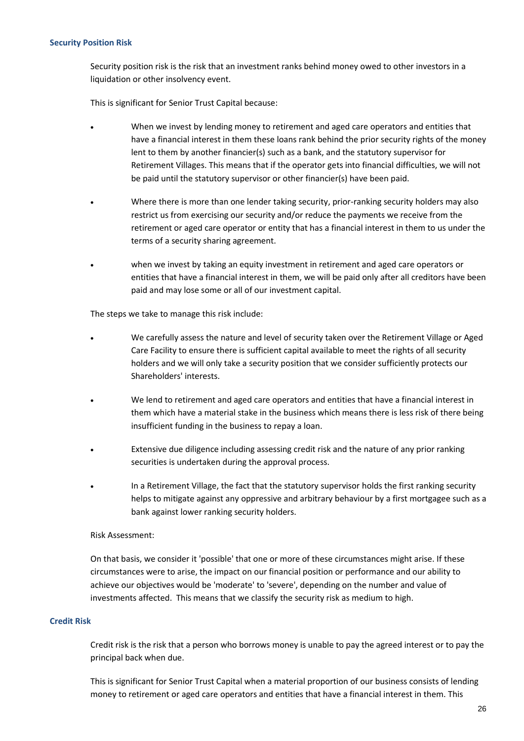#### **Security Position Risk**

Security position risk is the risk that an investment ranks behind money owed to other investors in a liquidation or other insolvency event.

This is significant for Senior Trust Capital because:

- When we invest by lending money to retirement and aged care operators and entities that have a financial interest in them these loans rank behind the prior security rights of the money lent to them by another financier(s) such as a bank, and the statutory supervisor for Retirement Villages. This means that if the operator gets into financial difficulties, we will not be paid until the statutory supervisor or other financier(s) have been paid.
- Where there is more than one lender taking security, prior-ranking security holders may also restrict us from exercising our security and/or reduce the payments we receive from the retirement or aged care operator or entity that has a financial interest in them to us under the terms of a security sharing agreement.
- when we invest by taking an equity investment in retirement and aged care operators or entities that have a financial interest in them, we will be paid only after all creditors have been paid and may lose some or all of our investment capital.

The steps we take to manage this risk include:

- We carefully assess the nature and level of security taken over the Retirement Village or Aged Care Facility to ensure there is sufficient capital available to meet the rights of all security holders and we will only take a security position that we consider sufficiently protects our Shareholders' interests.
- We lend to retirement and aged care operators and entities that have a financial interest in them which have a material stake in the business which means there is less risk of there being insufficient funding in the business to repay a loan.
- Extensive due diligence including assessing credit risk and the nature of any prior ranking securities is undertaken during the approval process.
- In a Retirement Village, the fact that the statutory supervisor holds the first ranking security helps to mitigate against any oppressive and arbitrary behaviour by a first mortgagee such as a bank against lower ranking security holders.

#### Risk Assessment:

On that basis, we consider it 'possible' that one or more of these circumstances might arise. If these circumstances were to arise, the impact on our financial position or performance and our ability to achieve our objectives would be 'moderate' to 'severe', depending on the number and value of investments affected. This means that we classify the security risk as medium to high.

#### **Credit Risk**

Credit risk is the risk that a person who borrows money is unable to pay the agreed interest or to pay the principal back when due.

This is significant for Senior Trust Capital when a material proportion of our business consists of lending money to retirement or aged care operators and entities that have a financial interest in them. This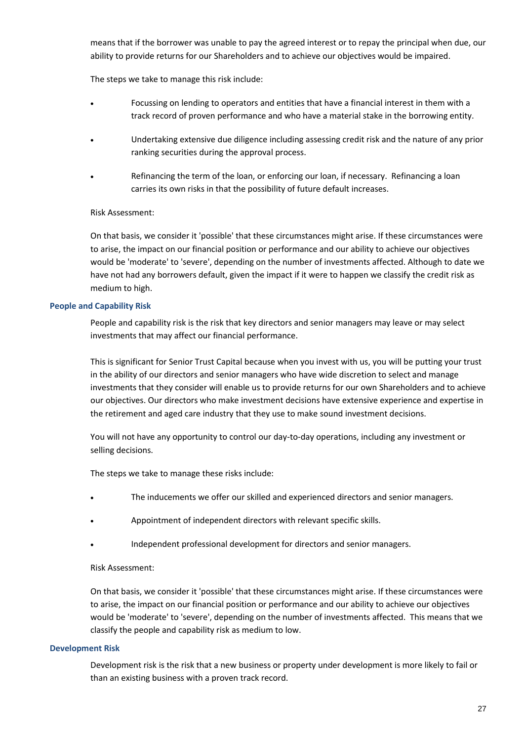means that if the borrower was unable to pay the agreed interest or to repay the principal when due, our ability to provide returns for our Shareholders and to achieve our objectives would be impaired.

The steps we take to manage this risk include:

- Focussing on lending to operators and entities that have a financial interest in them with a track record of proven performance and who have a material stake in the borrowing entity.
- Undertaking extensive due diligence including assessing credit risk and the nature of any prior ranking securities during the approval process.
- Refinancing the term of the loan, or enforcing our loan, if necessary. Refinancing a loan carries its own risks in that the possibility of future default increases.

#### Risk Assessment:

On that basis, we consider it 'possible' that these circumstances might arise. If these circumstances were to arise, the impact on our financial position or performance and our ability to achieve our objectives would be 'moderate' to 'severe', depending on the number of investments affected. Although to date we have not had any borrowers default, given the impact if it were to happen we classify the credit risk as medium to high.

#### **People and Capability Risk**

People and capability risk is the risk that key directors and senior managers may leave or may select investments that may affect our financial performance.

This is significant for Senior Trust Capital because when you invest with us, you will be putting your trust in the ability of our directors and senior managers who have wide discretion to select and manage investments that they consider will enable us to provide returns for our own Shareholders and to achieve our objectives. Our directors who make investment decisions have extensive experience and expertise in the retirement and aged care industry that they use to make sound investment decisions.

You will not have any opportunity to control our day-to-day operations, including any investment or selling decisions.

The steps we take to manage these risks include:

- The inducements we offer our skilled and experienced directors and senior managers.
- Appointment of independent directors with relevant specific skills.
- Independent professional development for directors and senior managers.

#### Risk Assessment:

On that basis, we consider it 'possible' that these circumstances might arise. If these circumstances were to arise, the impact on our financial position or performance and our ability to achieve our objectives would be 'moderate' to 'severe', depending on the number of investments affected. This means that we classify the people and capability risk as medium to low.

#### **Development Risk**

Development risk is the risk that a new business or property under development is more likely to fail or than an existing business with a proven track record.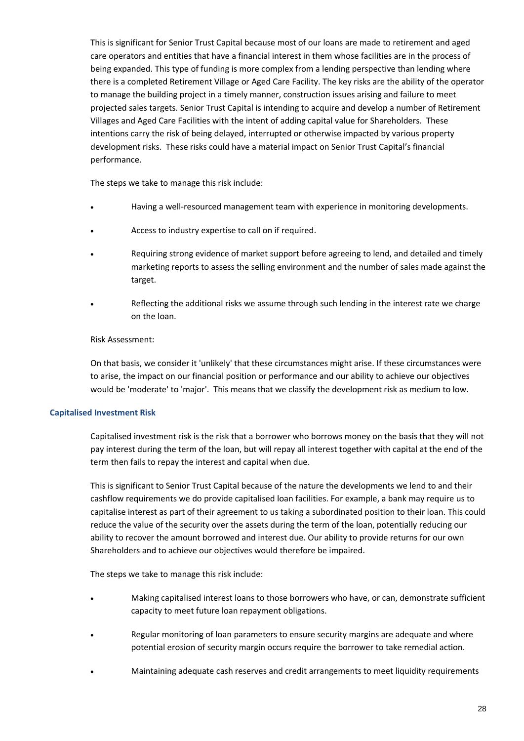This is significant for Senior Trust Capital because most of our loans are made to retirement and aged care operators and entities that have a financial interest in them whose facilities are in the process of being expanded. This type of funding is more complex from a lending perspective than lending where there is a completed Retirement Village or Aged Care Facility. The key risks are the ability of the operator to manage the building project in a timely manner, construction issues arising and failure to meet projected sales targets. Senior Trust Capital is intending to acquire and develop a number of Retirement Villages and Aged Care Facilities with the intent of adding capital value for Shareholders. These intentions carry the risk of being delayed, interrupted or otherwise impacted by various property development risks. These risks could have a material impact on Senior Trust Capital's financial performance.

The steps we take to manage this risk include:

- Having a well-resourced management team with experience in monitoring developments.
- Access to industry expertise to call on if required.
- Requiring strong evidence of market support before agreeing to lend, and detailed and timely marketing reports to assess the selling environment and the number of sales made against the target.
- Reflecting the additional risks we assume through such lending in the interest rate we charge on the loan.

#### Risk Assessment:

On that basis, we consider it 'unlikely' that these circumstances might arise. If these circumstances were to arise, the impact on our financial position or performance and our ability to achieve our objectives would be 'moderate' to 'major'. This means that we classify the development risk as medium to low.

#### **Capitalised Investment Risk**

Capitalised investment risk is the risk that a borrower who borrows money on the basis that they will not pay interest during the term of the loan, but will repay all interest together with capital at the end of the term then fails to repay the interest and capital when due.

This is significant to Senior Trust Capital because of the nature the developments we lend to and their cashflow requirements we do provide capitalised loan facilities. For example, a bank may require us to capitalise interest as part of their agreement to us taking a subordinated position to their loan. This could reduce the value of the security over the assets during the term of the loan, potentially reducing our ability to recover the amount borrowed and interest due. Our ability to provide returns for our own Shareholders and to achieve our objectives would therefore be impaired.

The steps we take to manage this risk include:

- Making capitalised interest loans to those borrowers who have, or can, demonstrate sufficient capacity to meet future loan repayment obligations.
- Regular monitoring of loan parameters to ensure security margins are adequate and where potential erosion of security margin occurs require the borrower to take remedial action.
- Maintaining adequate cash reserves and credit arrangements to meet liquidity requirements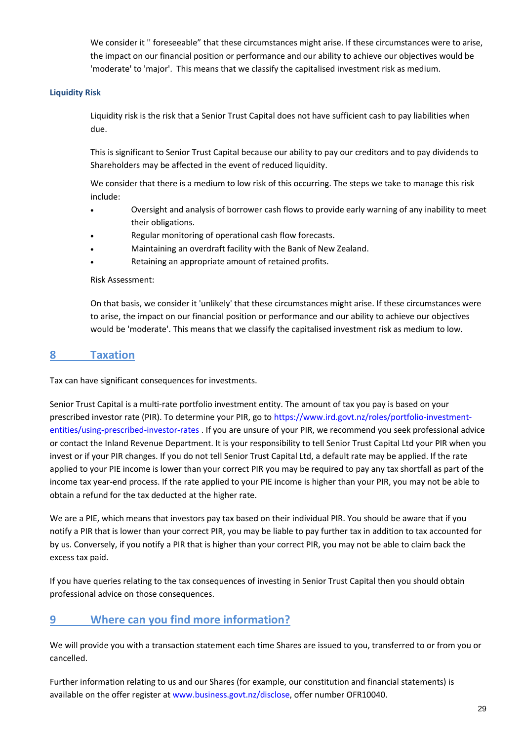We consider it '' foreseeable" that these circumstances might arise. If these circumstances were to arise, the impact on our financial position or performance and our ability to achieve our objectives would be 'moderate' to 'major'. This means that we classify the capitalised investment risk as medium.

#### **Liquidity Risk**

Liquidity risk is the risk that a Senior Trust Capital does not have sufficient cash to pay liabilities when due.

This is significant to Senior Trust Capital because our ability to pay our creditors and to pay dividends to Shareholders may be affected in the event of reduced liquidity.

We consider that there is a medium to low risk of this occurring. The steps we take to manage this risk include:

- Oversight and analysis of borrower cash flows to provide early warning of any inability to meet their obligations.
- Regular monitoring of operational cash flow forecasts.
- Maintaining an overdraft facility with the Bank of New Zealand.
- Retaining an appropriate amount of retained profits.

#### Risk Assessment:

On that basis, we consider it 'unlikely' that these circumstances might arise. If these circumstances were to arise, the impact on our financial position or performance and our ability to achieve our objectives would be 'moderate'. This means that we classify the capitalised investment risk as medium to low.

### **8 Taxation**

Tax can have significant consequences for investments.

Senior Trust Capital is a multi-rate portfolio investment entity. The amount of tax you pay is based on your prescribed investor rate (PIR). To determine your PIR, go to [https://www.ird.govt.nz/roles/portfolio-investment](https://www.ird.govt.nz/roles/portfolio-investment-entities/using-prescribed-investor-rates)[entities/using-prescribed-investor-rates](https://www.ird.govt.nz/roles/portfolio-investment-entities/using-prescribed-investor-rates) . If you are unsure of your PIR, we recommend you seek professional advice or contact the Inland Revenue Department. It is your responsibility to tell Senior Trust Capital Ltd your PIR when you invest or if your PIR changes. If you do not tell Senior Trust Capital Ltd, a default rate may be applied. If the rate applied to your PIE income is lower than your correct PIR you may be required to pay any tax shortfall as part of the income tax year-end process. If the rate applied to your PIE income is higher than your PIR, you may not be able to obtain a refund for the tax deducted at the higher rate.

We are a PIE, which means that investors pay tax based on their individual PIR. You should be aware that if you notify a PIR that is lower than your correct PIR, you may be liable to pay further tax in addition to tax accounted for by us. Conversely, if you notify a PIR that is higher than your correct PIR, you may not be able to claim back the excess tax paid.

If you have queries relating to the tax consequences of investing in Senior Trust Capital then you should obtain professional advice on those consequences.

## **9 Where can you find more information?**

We will provide you with a transaction statement each time Shares are issued to you, transferred to or from you or cancelled.

Further information relating to us and our Shares (for example, our constitution and financial statements) is available on the offer register at [www.business.govt.nz/disclose,](http://www.business.govt.nz/disclose) offer number OFR10040.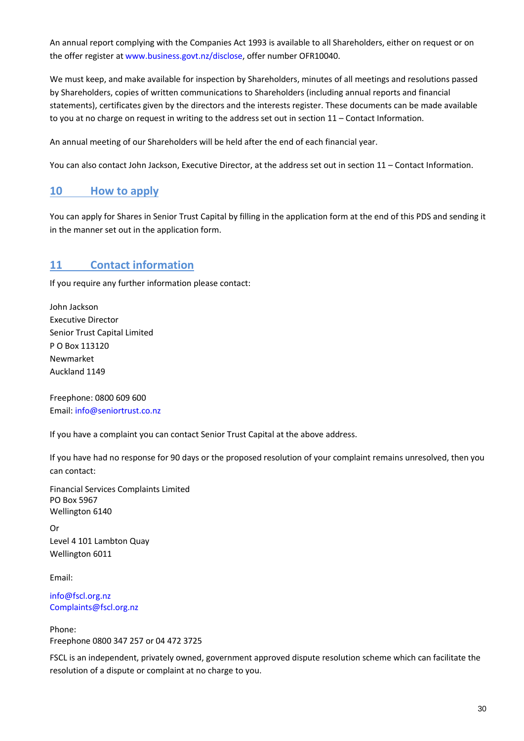An annual report complying with the Companies Act 1993 is available to all Shareholders, either on request or on the offer register a[t www.business.govt.nz/disclose,](http://www.business.govt.nz/disclose) offer number OFR10040.

We must keep, and make available for inspection by Shareholders, minutes of all meetings and resolutions passed by Shareholders, copies of written communications to Shareholders (including annual reports and financial statements), certificates given by the directors and the interests register. These documents can be made available to you at no charge on request in writing to the address set out in section 11 – Contact Information.

An annual meeting of our Shareholders will be held after the end of each financial year.

You can also contact John Jackson, Executive Director, at the address set out in section 11 – Contact Information.

### **10 How to apply**

You can apply for Shares in Senior Trust Capital by filling in the application form at the end of this PDS and sending it in the manner set out in the application form.

## **11 Contact information**

If you require any further information please contact:

John Jackson Executive Director Senior Trust Capital Limited P O Box 113120 Newmarket Auckland 1149

Freephone: 0800 609 600 Email: [info@seniortrust.co.nz](mailto:info@seniortrust.co.nz)

If you have a complaint you can contact Senior Trust Capital at the above address.

If you have had no response for 90 days or the proposed resolution of your complaint remains unresolved, then you can contact:

Financial Services Complaints Limited PO Box 5967 Wellington 6140

Or Level 4 101 Lambton Quay Wellington 6011

Email:

[info@fscl.org.nz](mailto:info@fscl.org.nz) [Complaints@fscl.org.nz](mailto:Complaints@fscl.org.nz)

Phone: Freephone 0800 347 257 or 04 472 3725

FSCL is an independent, privately owned, government approved dispute resolution scheme which can facilitate the resolution of a dispute or complaint at no charge to you.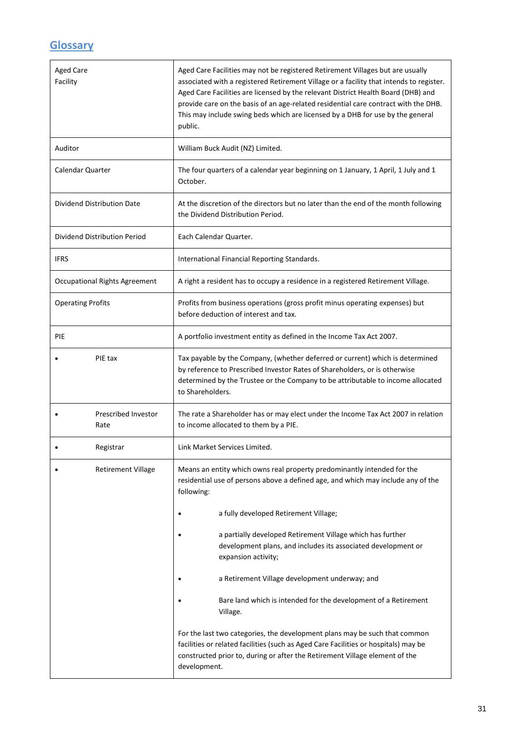## **Glossary**

| <b>Aged Care</b><br>Facility  | Aged Care Facilities may not be registered Retirement Villages but are usually<br>associated with a registered Retirement Village or a facility that intends to register.<br>Aged Care Facilities are licensed by the relevant District Health Board (DHB) and<br>provide care on the basis of an age-related residential care contract with the DHB.<br>This may include swing beds which are licensed by a DHB for use by the general<br>public. |
|-------------------------------|----------------------------------------------------------------------------------------------------------------------------------------------------------------------------------------------------------------------------------------------------------------------------------------------------------------------------------------------------------------------------------------------------------------------------------------------------|
| Auditor                       | William Buck Audit (NZ) Limited.                                                                                                                                                                                                                                                                                                                                                                                                                   |
| Calendar Quarter              | The four quarters of a calendar year beginning on 1 January, 1 April, 1 July and 1<br>October.                                                                                                                                                                                                                                                                                                                                                     |
| Dividend Distribution Date    | At the discretion of the directors but no later than the end of the month following<br>the Dividend Distribution Period.                                                                                                                                                                                                                                                                                                                           |
| Dividend Distribution Period  | Each Calendar Quarter.                                                                                                                                                                                                                                                                                                                                                                                                                             |
| <b>IFRS</b>                   | International Financial Reporting Standards.                                                                                                                                                                                                                                                                                                                                                                                                       |
| Occupational Rights Agreement | A right a resident has to occupy a residence in a registered Retirement Village.                                                                                                                                                                                                                                                                                                                                                                   |
| <b>Operating Profits</b>      | Profits from business operations (gross profit minus operating expenses) but<br>before deduction of interest and tax.                                                                                                                                                                                                                                                                                                                              |
| PIE                           | A portfolio investment entity as defined in the Income Tax Act 2007.                                                                                                                                                                                                                                                                                                                                                                               |
| PIE tax                       | Tax payable by the Company, (whether deferred or current) which is determined<br>by reference to Prescribed Investor Rates of Shareholders, or is otherwise<br>determined by the Trustee or the Company to be attributable to income allocated<br>to Shareholders.                                                                                                                                                                                 |
| Prescribed Investor<br>Rate   | The rate a Shareholder has or may elect under the Income Tax Act 2007 in relation<br>to income allocated to them by a PIE.                                                                                                                                                                                                                                                                                                                         |
| Registrar                     | Link Market Services Limited.                                                                                                                                                                                                                                                                                                                                                                                                                      |
| <b>Retirement Village</b>     | Means an entity which owns real property predominantly intended for the<br>residential use of persons above a defined age, and which may include any of the<br>following:                                                                                                                                                                                                                                                                          |
|                               | a fully developed Retirement Village;                                                                                                                                                                                                                                                                                                                                                                                                              |
|                               | a partially developed Retirement Village which has further<br>development plans, and includes its associated development or<br>expansion activity;                                                                                                                                                                                                                                                                                                 |
|                               | a Retirement Village development underway; and                                                                                                                                                                                                                                                                                                                                                                                                     |
|                               | Bare land which is intended for the development of a Retirement<br>Village.                                                                                                                                                                                                                                                                                                                                                                        |
|                               | For the last two categories, the development plans may be such that common<br>facilities or related facilities (such as Aged Care Facilities or hospitals) may be<br>constructed prior to, during or after the Retirement Village element of the<br>development.                                                                                                                                                                                   |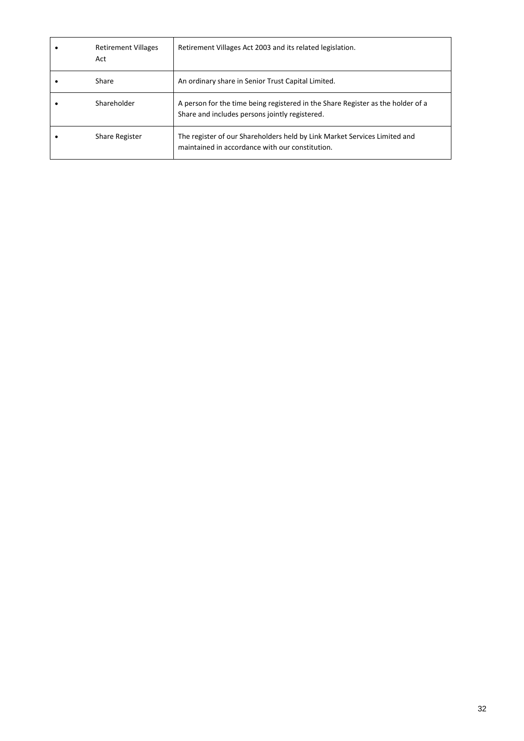| <b>Retirement Villages</b><br>Act | Retirement Villages Act 2003 and its related legislation.                                                                         |
|-----------------------------------|-----------------------------------------------------------------------------------------------------------------------------------|
| Share                             | An ordinary share in Senior Trust Capital Limited.                                                                                |
| Shareholder                       | A person for the time being registered in the Share Register as the holder of a<br>Share and includes persons jointly registered. |
| Share Register                    | The register of our Shareholders held by Link Market Services Limited and<br>maintained in accordance with our constitution.      |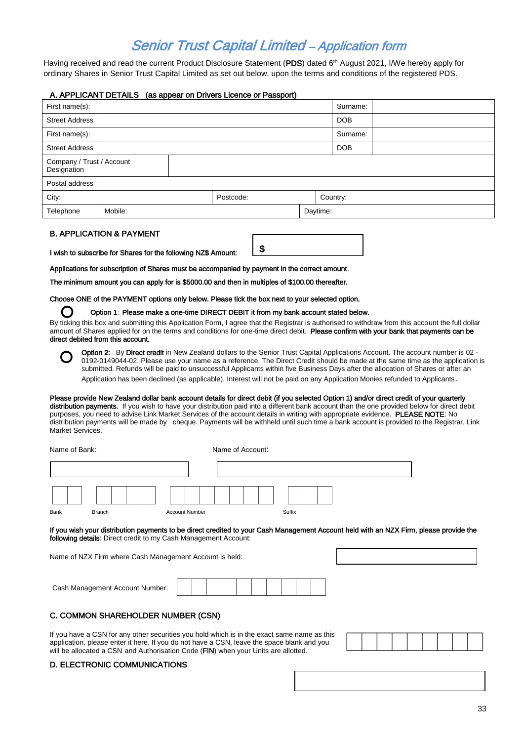## Senior Trust Capital Limited – Application form

Having received and read the current Product Disclosure Statement (**PDS**) dated 6<sup>th</sup> August 2021, I/We hereby apply for ordinary Shares in Senior Trust Capital Limited as set out below, upon the terms and conditions of the registered PDS.

#### A. APPLICANT DETAILS (as appear on Drivers Licence or Passport)

| First name(s):                           |         |  |           |          | Surname:   |  |
|------------------------------------------|---------|--|-----------|----------|------------|--|
| <b>Street Address</b>                    |         |  |           |          | <b>DOB</b> |  |
| First name(s):                           |         |  |           | Surname: |            |  |
| <b>Street Address</b>                    |         |  |           |          | <b>DOB</b> |  |
| Company / Trust / Account<br>Designation |         |  |           |          |            |  |
| Postal address                           |         |  |           |          |            |  |
| City:                                    |         |  | Postcode: |          | Country:   |  |
| Telephone                                | Mobile: |  |           | Daytime: |            |  |

#### B. APPLICATION & PAYMENT

I wish to subscribe for Shares for the following NZ\$ Amount:

\$

Applications for subscription of Shares must be accompanied by payment in the correct amount.

The minimum amount you can apply for is \$5000.00 and then in multiples of \$100.00 thereafter.

Choose ONE of the PAYMENT options only below. Please tick the box next to your selected option.

Option 1: Please make a one-time DIRECT DEBIT it from my bank account stated below.

By ticking this box and submitting this Application Form, I agree that the Registrar is authorised to withdraw from this account the full dollar amount of Shares applied for on the terms and conditions for one-time direct debit. Please confirm with your bank that payments can be direct debited from this account.

Option 2: By Direct credit in New Zealand dollars to the Senior Trust Capital Applications Account. The account number is 02 -0192-0149044-02. Please use your name as a reference. The Direct Credit should be made at the same time as the application is submitted. Refunds will be paid to unsuccessful Applicants within five Business Days after the allocation of Shares or after an Application has been declined (as applicable). Interest will not be paid on any Application Monies refunded to Applicants.

Please provide New Zealand dollar bank account details for direct debit (if you selected Option 1) and/or direct credit of your quarterly distribution payments. If you wish to have your distribution paid into a different bank account than the one provided below for direct debit purposes, you need to advise Link Market Services of the account details in writing with appropriate evidence. PLEASE NOTE: No distribution payments will be made by cheque. Payments will be withheld until such time a bank account is provided to the Registrar, Link Market Services.

| Name of Bank: |               |                       | Name of Account: |  |
|---------------|---------------|-----------------------|------------------|--|
|               |               |                       |                  |  |
|               |               |                       |                  |  |
| <b>Bank</b>   | <b>Branch</b> | <b>Account Number</b> | Suffix           |  |

If you wish your distribution payments to be direct credited to your Cash Management Account held with an NZX Firm, please provide the following details: Direct credit to my Cash Management Account:

Name of NZX Firm where Cash Management Account is held:

| Cash Management Account Number: |  |  |  |  |  |  |
|---------------------------------|--|--|--|--|--|--|
|---------------------------------|--|--|--|--|--|--|

#### C. COMMON SHAREHOLDER NUMBER (CSN)

If you have a CSN for any other securities you hold which is in the exact same name as this application, please enter it here. If you do not have a CSN, leave the space blank and you will be allocated a CSN and Authorisation Code (FIN) when your Units are allotted.

#### D. ELECTRONIC COMMUNICATIONS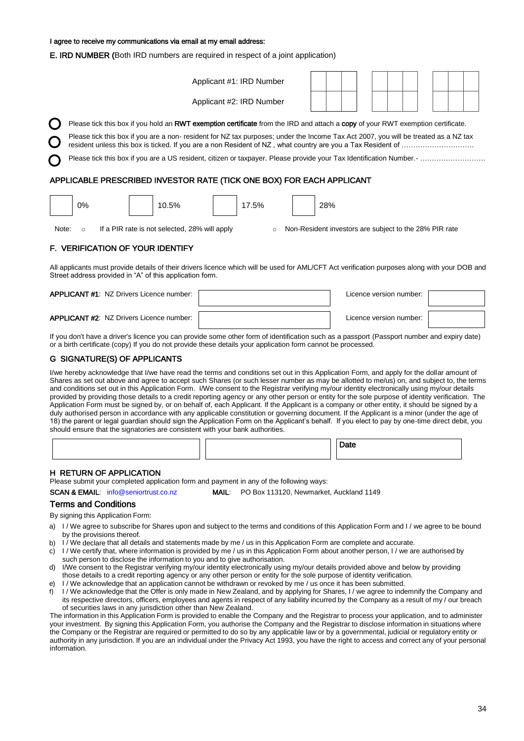I agree to receive my communications via email at my email address:

E. IRD NUMBER (Both IRD numbers are required in respect of a joint application)

| Applicant #1: IRD Number                                                                                                            |  |  |  |  |  |  |  |  |  |  |  |
|-------------------------------------------------------------------------------------------------------------------------------------|--|--|--|--|--|--|--|--|--|--|--|
| Applicant #2: IRD Number                                                                                                            |  |  |  |  |  |  |  |  |  |  |  |
| Please tick this box if you hold an RWT exemption certificate from the IRD and attach a copy of your RWT exemption certificate.     |  |  |  |  |  |  |  |  |  |  |  |
| Please tick this box if you are a non- resident for NZ tax purposes; under the Income Tax Act 2007, you will be treated as a NZ tax |  |  |  |  |  |  |  |  |  |  |  |
|                                                                                                                                     |  |  |  |  |  |  |  |  |  |  |  |
| APPLICABLE PRESCRIBED INVESTOR RATE (TICK ONE BOX) FOR EACH APPLICANT                                                               |  |  |  |  |  |  |  |  |  |  |  |
|                                                                                                                                     |  |  |  |  |  |  |  |  |  |  |  |

|  | 0% | 10.5% | 7.5% | 28% |
|--|----|-------|------|-----|
|  |    |       |      |     |

Note: o If a PIR rate is not selected, 28% will apply o Non-Resident investors are subject to the 28% PIR rate

#### F. VERIFICATION OF YOUR IDENTIFY

All applicants must provide details of their drivers licence which will be used for AML/CFT Act verification purposes along with your DOB and Street address provided in "A" of this application form.

| <b>APPLICANT #1: NZ Drivers Licence number:</b> | Licence version number: |  |
|-------------------------------------------------|-------------------------|--|
| <b>APPLICANT #2: NZ Drivers Licence number:</b> | Licence version number: |  |

If you don't have a driver's licence you can provide some other form of identification such as a passport (Passport number and expiry date) or a birth certificate (copy) If you do not provide these details your application form cannot be processed.

#### G SIGNATURE(S) OF APPLICANTS

I/we hereby acknowledge that I/we have read the terms and conditions set out in this Application Form, and apply for the dollar amount of Shares as set out above and agree to accept such Shares (or such lesser number as may be allotted to me/us) on, and subject to, the terms and conditions set out in this Application Form. I/We consent to the Registrar verifying my/our identity electronically using my/our details provided by providing those details to a credit reporting agency or any other person or entity for the sole purpose of identity verification. The Application Form must be signed by, or on behalf of, each Applicant. If the Applicant is a company or other entity, it should be signed by a duly authorised person in accordance with any applicable constitution or governing document. If the Applicant is a minor (under the age of 18) the parent or legal guardian should sign the Application Form on the Applicant's behalf. If you elect to pay by one-time direct debit, you should ensure that the signatories are consistent with your bank authorities.

|  | Date |
|--|------|
|  |      |

#### H RETURN OF APPLICATION

Please submit your completed application form and payment in any of the following ways:

| <b>SCAN &amp; EMAIL:</b> info@seniortrust.co.r |  |
|------------------------------------------------|--|
|------------------------------------------------|--|

nz **MAIL:** PO Box 113120, Newmarket, Auckland 1149

#### Terms and Conditions

By signing this Application Form:

- a) I / We agree to subscribe for Shares upon and subject to the terms and conditions of this Application Form and I / we agree to be bound by the provisions thereof.
- b) I / We declare that all details and statements made by me / us in this Application Form are complete and accurate.
- c) I / We certify that, where information is provided by me / us in this Application Form about another person, I / we are authorised by such person to disclose the information to you and to give authorisation.
- d) I/We consent to the Registrar verifying my/our identity electronically using my/our details provided above and below by providing those details to a credit reporting agency or any other person or entity for the sole purpose of identity verification.
- e) I / We acknowledge that an application cannot be withdrawn or revoked by me / us once it has been submitted.
- f) I / We acknowledge that the Offer is only made in New Zealand, and by applying for Shares, I / we agree to indemnify the Company and its respective directors, officers, employees and agents in respect of any liability incurred by the Company as a result of my / our breach of securities laws in any jurisdiction other than New Zealand.

The information in this Application Form is provided to enable the Company and the Registrar to process your application, and to administer your investment. By signing this Application Form, you authorise the Company and the Registrar to disclose information in situations where the Company or the Registrar are required or permitted to do so by any applicable law or by a governmental, judicial or regulatory entity or authority in any jurisdiction. If you are an individual under the Privacy Act 1993, you have the right to access and correct any of your personal information.